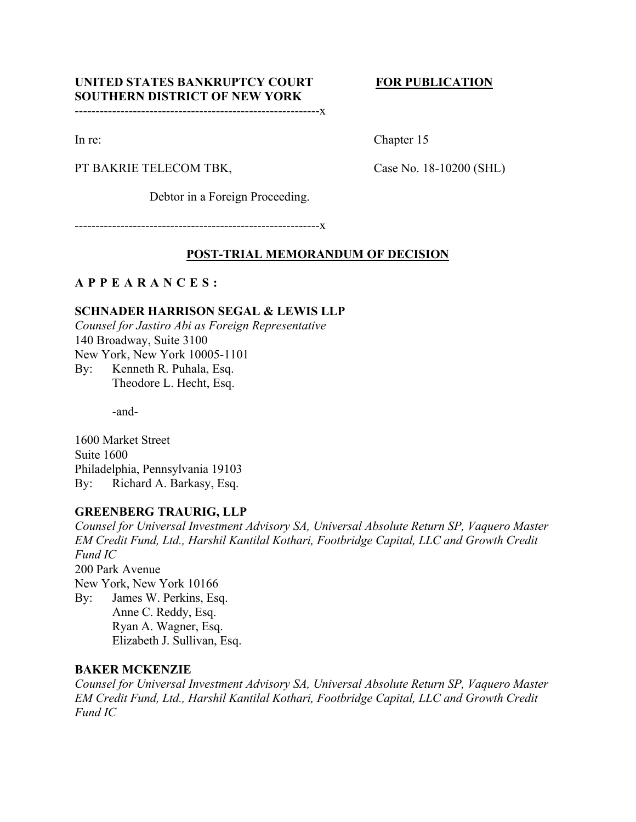# UNITED STATES BANKRUPTCY COURT FOR PUBLICATION **SOUTHERN DISTRICT OF NEW YORK**

-----------------------------------------------------------x

In re: Chapter 15

PT BAKRIE TELECOM TBK, Case No. 18-10200 (SHL)

Debtor in a Foreign Proceeding.

-----------------------------------------------------------x

# **POST-TRIAL MEMORANDUM OF DECISION**

# **APPEARANCES :**

# **SCHNADER HARRISON SEGAL & LEWIS LLP**

*Counsel for Jastiro Abi as Foreign Representative* 140 Broadway, Suite 3100 New York, New York 10005-1101

By: Kenneth R. Puhala, Esq. Theodore L. Hecht, Esq.

-and-

1600 Market Street Suite 1600 Philadelphia, Pennsylvania 19103 By: Richard A. Barkasy, Esq.

# **GREENBERG TRAURIG, LLP**

*Counsel for Universal Investment Advisory SA, Universal Absolute Return SP, Vaquero Master EM Credit Fund, Ltd., Harshil Kantilal Kothari, Footbridge Capital, LLC and Growth Credit Fund IC* 200 Park Avenue New York, New York 10166 By: James W. Perkins, Esq. Anne C. Reddy, Esq. Ryan A. Wagner, Esq. Elizabeth J. Sullivan, Esq.

# **BAKER MCKENZIE**

*Counsel for Universal Investment Advisory SA, Universal Absolute Return SP, Vaquero Master EM Credit Fund, Ltd., Harshil Kantilal Kothari, Footbridge Capital, LLC and Growth Credit Fund IC*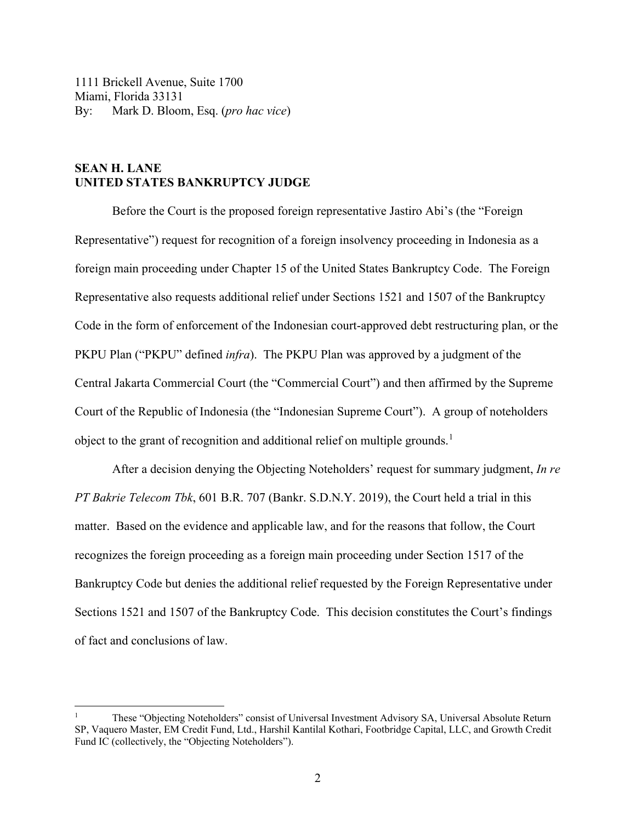# **SEAN H. LANE UNITED STATES BANKRUPTCY JUDGE**

Before the Court is the proposed foreign representative Jastiro Abi's (the "Foreign Representative") request for recognition of a foreign insolvency proceeding in Indonesia as a foreign main proceeding under Chapter 15 of the United States Bankruptcy Code. The Foreign Representative also requests additional relief under Sections 1521 and 1507 of the Bankruptcy Code in the form of enforcement of the Indonesian court-approved debt restructuring plan, or the PKPU Plan ("PKPU" defined *infra*). The PKPU Plan was approved by a judgment of the Central Jakarta Commercial Court (the "Commercial Court") and then affirmed by the Supreme Court of the Republic of Indonesia (the "Indonesian Supreme Court"). A group of noteholders object to the grant of recognition and additional relief on multiple grounds.<sup>[1](#page-1-0)</sup>

After a decision denying the Objecting Noteholders' request for summary judgment, *In re PT Bakrie Telecom Tbk*, 601 B.R. 707 (Bankr. S.D.N.Y. 2019), the Court held a trial in this matter. Based on the evidence and applicable law, and for the reasons that follow, the Court recognizes the foreign proceeding as a foreign main proceeding under Section 1517 of the Bankruptcy Code but denies the additional relief requested by the Foreign Representative under Sections 1521 and 1507 of the Bankruptcy Code. This decision constitutes the Court's findings of fact and conclusions of law.

<span id="page-1-0"></span><sup>1</sup> These "Objecting Noteholders" consist of Universal Investment Advisory SA, Universal Absolute Return SP, Vaquero Master, EM Credit Fund, Ltd., Harshil Kantilal Kothari, Footbridge Capital, LLC, and Growth Credit Fund IC (collectively, the "Objecting Noteholders").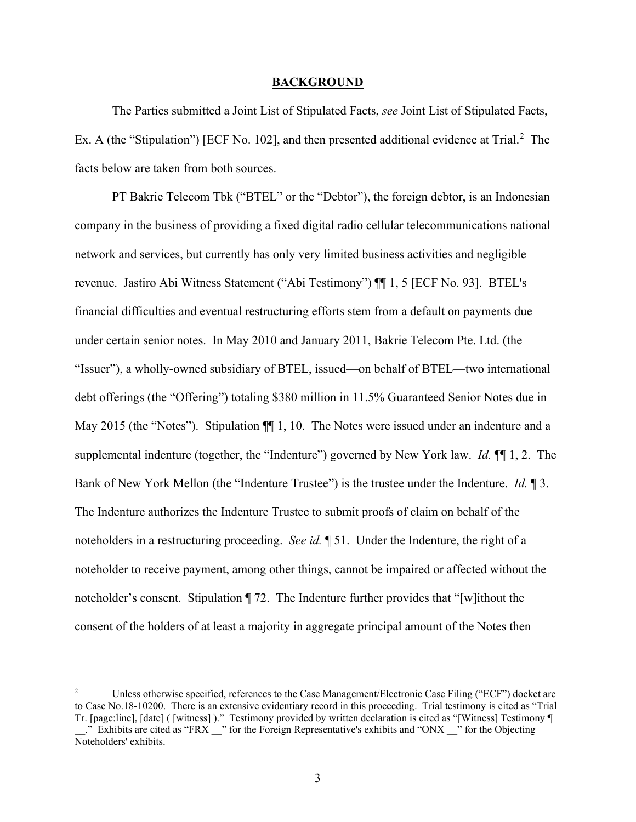#### **BACKGROUND**

The Parties submitted a Joint List of Stipulated Facts, *see* Joint List of Stipulated Facts, Ex. A (the "Stipulation") [ECF No. 10[2](#page-2-0)], and then presented additional evidence at Trial.<sup>2</sup> The facts below are taken from both sources.

PT Bakrie Telecom Tbk ("BTEL" or the "Debtor"), the foreign debtor, is an Indonesian company in the business of providing a fixed digital radio cellular telecommunications national network and services, but currently has only very limited business activities and negligible revenue. Jastiro Abi Witness Statement ("Abi Testimony") ¶¶ 1, 5 [ECF No. 93]. BTEL's financial difficulties and eventual restructuring efforts stem from a default on payments due under certain senior notes. In May 2010 and January 2011, Bakrie Telecom Pte. Ltd. (the "Issuer"), a wholly-owned subsidiary of BTEL, issued—on behalf of BTEL—two international debt offerings (the "Offering") totaling \$380 million in 11.5% Guaranteed Senior Notes due in May 2015 (the "Notes"). Stipulation  $\P\P$  1, 10. The Notes were issued under an indenture and a supplemental indenture (together, the "Indenture") governed by New York law. *Id.* ¶¶ 1, 2. The Bank of New York Mellon (the "Indenture Trustee") is the trustee under the Indenture. *Id.* ¶ 3. The Indenture authorizes the Indenture Trustee to submit proofs of claim on behalf of the noteholders in a restructuring proceeding. *See id.* ¶ 51. Under the Indenture, the right of a noteholder to receive payment, among other things, cannot be impaired or affected without the noteholder's consent. Stipulation ¶ 72. The Indenture further provides that "[w]ithout the consent of the holders of at least a majority in aggregate principal amount of the Notes then

<span id="page-2-0"></span><sup>&</sup>lt;sup>2</sup> Unless otherwise specified, references to the Case Management/Electronic Case Filing ("ECF") docket are to Case No.18-10200. There is an extensive evidentiary record in this proceeding. Trial testimony is cited as "Trial Tr. [page:line], [date] ( [witness] )." Testimony provided by written declaration is cited as "[Witness] Testimony ¶

<sup>.&</sup>quot; Exhibits are cited as "FRX <sup>2</sup>" for the Foreign Representative's exhibits and "ONX <sup>20</sup>" for the Objecting Noteholders' exhibits.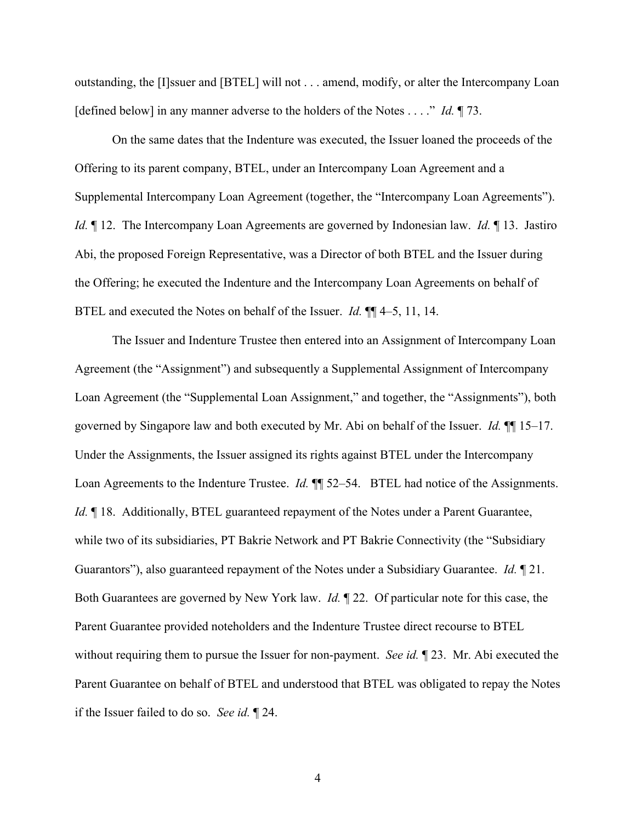outstanding, the [I]ssuer and [BTEL] will not . . . amend, modify, or alter the Intercompany Loan [defined below] in any manner adverse to the holders of the Notes . . . ." *Id.* 173.

On the same dates that the Indenture was executed, the Issuer loaned the proceeds of the Offering to its parent company, BTEL, under an Intercompany Loan Agreement and a Supplemental Intercompany Loan Agreement (together, the "Intercompany Loan Agreements"). *Id.* ¶ 12. The Intercompany Loan Agreements are governed by Indonesian law. *Id.* ¶ 13. Jastiro Abi, the proposed Foreign Representative, was a Director of both BTEL and the Issuer during the Offering; he executed the Indenture and the Intercompany Loan Agreements on behalf of BTEL and executed the Notes on behalf of the Issuer. *Id.* ¶¶ 4–5, 11, 14.

The Issuer and Indenture Trustee then entered into an Assignment of Intercompany Loan Agreement (the "Assignment") and subsequently a Supplemental Assignment of Intercompany Loan Agreement (the "Supplemental Loan Assignment," and together, the "Assignments"), both governed by Singapore law and both executed by Mr. Abi on behalf of the Issuer. *Id.* ¶¶ 15–17. Under the Assignments, the Issuer assigned its rights against BTEL under the Intercompany Loan Agreements to the Indenture Trustee. *Id.* **[1]** 52–54. BTEL had notice of the Assignments. *Id.*  $\P$  18. Additionally, BTEL guaranteed repayment of the Notes under a Parent Guarantee, while two of its subsidiaries, PT Bakrie Network and PT Bakrie Connectivity (the "Subsidiary Guarantors"), also guaranteed repayment of the Notes under a Subsidiary Guarantee. *Id.* ¶ 21. Both Guarantees are governed by New York law. *Id.* ¶ 22. Of particular note for this case, the Parent Guarantee provided noteholders and the Indenture Trustee direct recourse to BTEL without requiring them to pursue the Issuer for non-payment. *See id.* ¶ 23. Mr. Abi executed the Parent Guarantee on behalf of BTEL and understood that BTEL was obligated to repay the Notes if the Issuer failed to do so. *See id.* ¶ 24.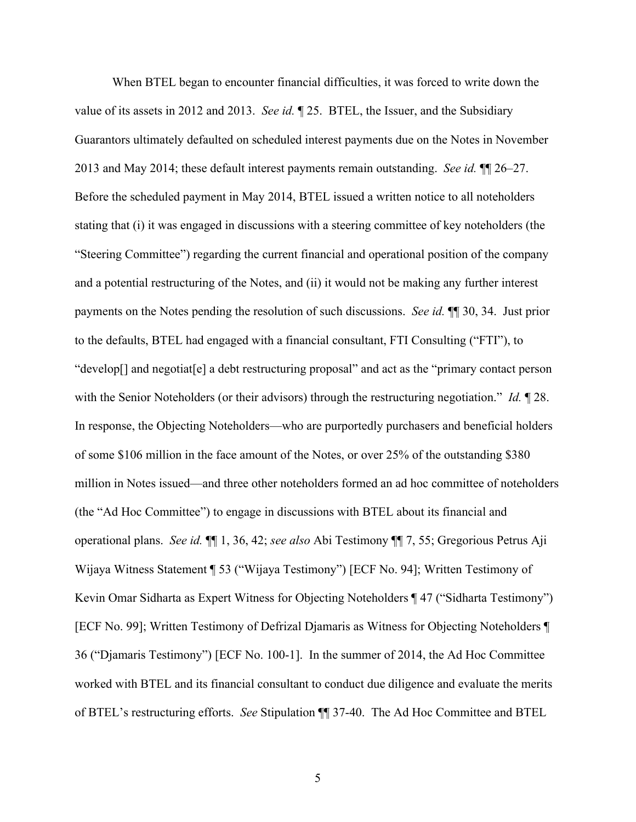When BTEL began to encounter financial difficulties, it was forced to write down the value of its assets in 2012 and 2013. *See id.* ¶ 25. BTEL, the Issuer, and the Subsidiary Guarantors ultimately defaulted on scheduled interest payments due on the Notes in November 2013 and May 2014; these default interest payments remain outstanding. *See id.* ¶¶ 26–27. Before the scheduled payment in May 2014, BTEL issued a written notice to all noteholders stating that (i) it was engaged in discussions with a steering committee of key noteholders (the "Steering Committee") regarding the current financial and operational position of the company and a potential restructuring of the Notes, and (ii) it would not be making any further interest payments on the Notes pending the resolution of such discussions. *See id.* ¶¶ 30, 34. Just prior to the defaults, BTEL had engaged with a financial consultant, FTI Consulting ("FTI"), to "develop[] and negotiat[e] a debt restructuring proposal" and act as the "primary contact person with the Senior Noteholders (or their advisors) through the restructuring negotiation." *Id.* ¶ 28. In response, the Objecting Noteholders—who are purportedly purchasers and beneficial holders of some \$106 million in the face amount of the Notes, or over 25% of the outstanding \$380 million in Notes issued—and three other noteholders formed an ad hoc committee of noteholders (the "Ad Hoc Committee") to engage in discussions with BTEL about its financial and operational plans. *See id.* ¶¶ 1, 36, 42; *see also* Abi Testimony ¶¶ 7, 55; Gregorious Petrus Aji Wijaya Witness Statement ¶ 53 ("Wijaya Testimony") [ECF No. 94]; Written Testimony of Kevin Omar Sidharta as Expert Witness for Objecting Noteholders ¶ 47 ("Sidharta Testimony") [ECF No. 99]; Written Testimony of Defrizal Djamaris as Witness for Objecting Noteholders ¶ 36 ("Djamaris Testimony") [ECF No. 100-1]. In the summer of 2014, the Ad Hoc Committee worked with BTEL and its financial consultant to conduct due diligence and evaluate the merits of BTEL's restructuring efforts. *See* Stipulation ¶¶ 37-40. The Ad Hoc Committee and BTEL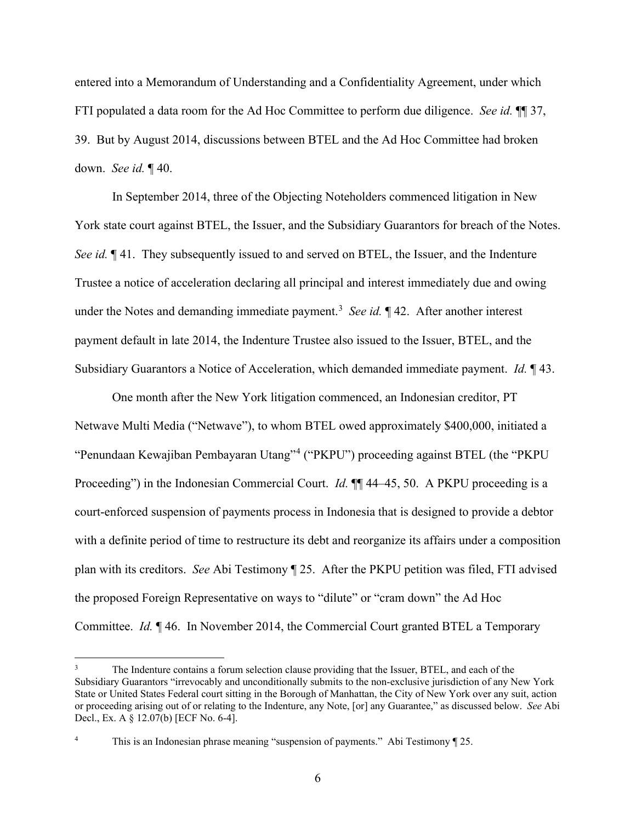entered into a Memorandum of Understanding and a Confidentiality Agreement, under which FTI populated a data room for the Ad Hoc Committee to perform due diligence. *See id.* ¶¶ 37, 39. But by August 2014, discussions between BTEL and the Ad Hoc Committee had broken down. *See id.* ¶ 40.

In September 2014, three of the Objecting Noteholders commenced litigation in New York state court against BTEL, the Issuer, and the Subsidiary Guarantors for breach of the Notes. *See id.*  $\P$  41. They subsequently issued to and served on BTEL, the Issuer, and the Indenture Trustee a notice of acceleration declaring all principal and interest immediately due and owing under the Notes and demanding immediate payment.<sup>[3](#page-5-0)</sup> See id. 142. After another interest payment default in late 2014, the Indenture Trustee also issued to the Issuer, BTEL, and the Subsidiary Guarantors a Notice of Acceleration, which demanded immediate payment. *Id.* ¶ 43.

One month after the New York litigation commenced, an Indonesian creditor, PT Netwave Multi Media ("Netwave"), to whom BTEL owed approximately \$400,000, initiated a "Penundaan Kewajiban Pembayaran Utang"[4](#page-5-1) ("PKPU") proceeding against BTEL (the "PKPU Proceeding") in the Indonesian Commercial Court. *Id.* ¶¶ 44–45, 50. A PKPU proceeding is a court-enforced suspension of payments process in Indonesia that is designed to provide a debtor with a definite period of time to restructure its debt and reorganize its affairs under a composition plan with its creditors. *See* Abi Testimony ¶ 25. After the PKPU petition was filed, FTI advised the proposed Foreign Representative on ways to "dilute" or "cram down" the Ad Hoc Committee. *Id.* ¶ 46. In November 2014, the Commercial Court granted BTEL a Temporary

<span id="page-5-0"></span><sup>&</sup>lt;sup>3</sup> The Indenture contains a forum selection clause providing that the Issuer, BTEL, and each of the Subsidiary Guarantors "irrevocably and unconditionally submits to the non-exclusive jurisdiction of any New York State or United States Federal court sitting in the Borough of Manhattan, the City of New York over any suit, action or proceeding arising out of or relating to the Indenture, any Note, [or] any Guarantee," as discussed below. *See* Abi Decl., Ex. A § 12.07(b) [ECF No. 6-4].

<span id="page-5-1"></span><sup>&</sup>lt;sup>4</sup> This is an Indonesian phrase meaning "suspension of payments." Abi Testimony ¶ 25.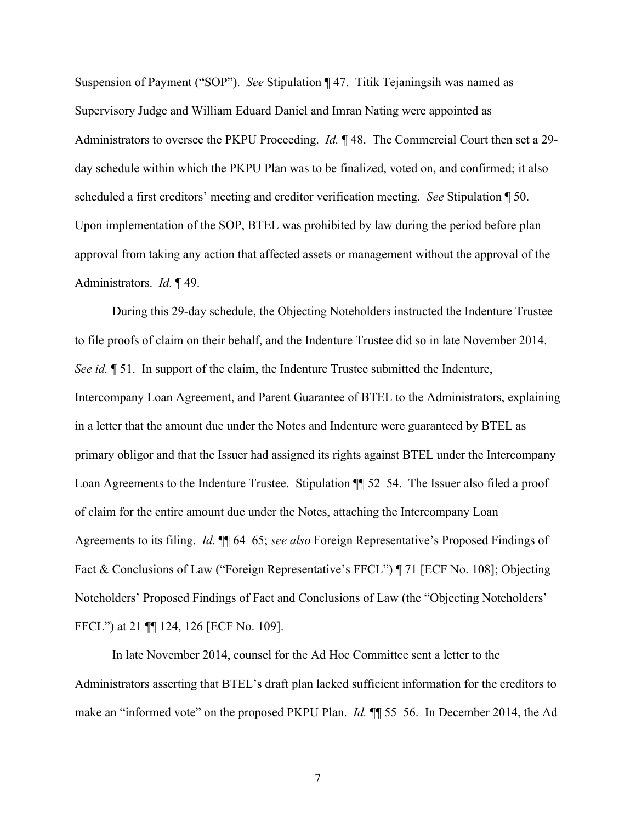Suspension of Payment ("SOP"). *See* Stipulation ¶ 47. Titik Tejaningsih was named as Supervisory Judge and William Eduard Daniel and Imran Nating were appointed as Administrators to oversee the PKPU Proceeding. *Id.* ¶ 48. The Commercial Court then set a 29 day schedule within which the PKPU Plan was to be finalized, voted on, and confirmed; it also scheduled a first creditors' meeting and creditor verification meeting. *See* Stipulation ¶ 50. Upon implementation of the SOP, BTEL was prohibited by law during the period before plan approval from taking any action that affected assets or management without the approval of the Administrators. *Id.* ¶ 49.

During this 29-day schedule, the Objecting Noteholders instructed the Indenture Trustee to file proofs of claim on their behalf, and the Indenture Trustee did so in late November 2014. *See id.* 151. In support of the claim, the Indenture Trustee submitted the Indenture, Intercompany Loan Agreement, and Parent Guarantee of BTEL to the Administrators, explaining in a letter that the amount due under the Notes and Indenture were guaranteed by BTEL as primary obligor and that the Issuer had assigned its rights against BTEL under the Intercompany Loan Agreements to the Indenture Trustee. Stipulation ¶¶ 52–54. The Issuer also filed a proof of claim for the entire amount due under the Notes, attaching the Intercompany Loan Agreements to its filing. *Id.* ¶¶ 64–65; *see also* Foreign Representative's Proposed Findings of Fact & Conclusions of Law ("Foreign Representative's FFCL") ¶ 71 [ECF No. 108]; Objecting Noteholders' Proposed Findings of Fact and Conclusions of Law (the "Objecting Noteholders' FFCL") at 21 ¶¶ 124, 126 [ECF No. 109].

In late November 2014, counsel for the Ad Hoc Committee sent a letter to the Administrators asserting that BTEL's draft plan lacked sufficient information for the creditors to make an "informed vote" on the proposed PKPU Plan. *Id.* ¶¶ 55–56. In December 2014, the Ad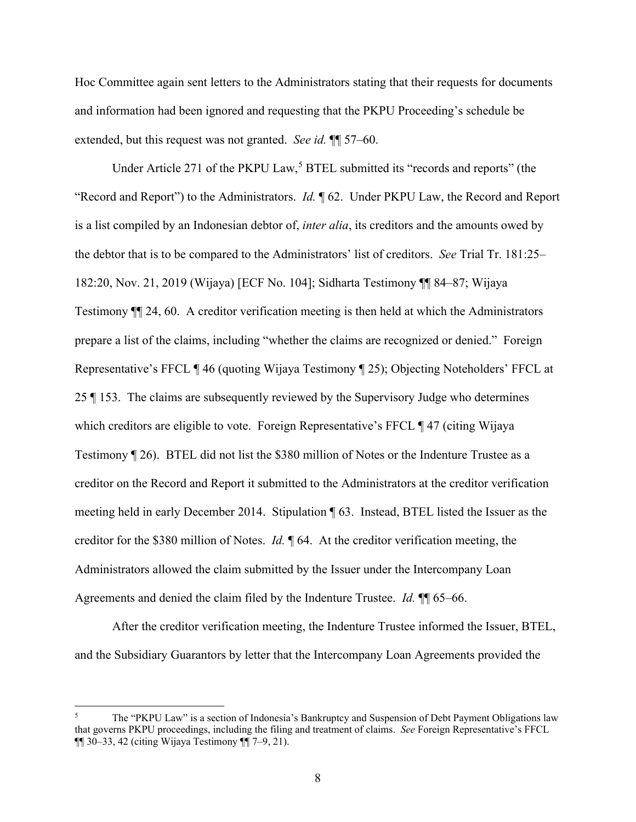Hoc Committee again sent letters to the Administrators stating that their requests for documents and information had been ignored and requesting that the PKPU Proceeding's schedule be extended, but this request was not granted. *See id.* ¶¶ 57–60.

Under Article 271 of the PKPU Law,<sup>[5](#page-7-0)</sup> BTEL submitted its "records and reports" (the "Record and Report") to the Administrators. *Id.* ¶ 62. Under PKPU Law, the Record and Report is a list compiled by an Indonesian debtor of, *inter alia*, its creditors and the amounts owed by the debtor that is to be compared to the Administrators' list of creditors. *See* Trial Tr. 181:25– 182:20, Nov. 21, 2019 (Wijaya) [ECF No. 104]; Sidharta Testimony ¶¶ 84–87; Wijaya Testimony ¶¶ 24, 60. A creditor verification meeting is then held at which the Administrators prepare a list of the claims, including "whether the claims are recognized or denied." Foreign Representative's FFCL ¶ 46 (quoting Wijaya Testimony ¶ 25); Objecting Noteholders' FFCL at 25 ¶ 153. The claims are subsequently reviewed by the Supervisory Judge who determines which creditors are eligible to vote. Foreign Representative's FFCL ¶ 47 (citing Wijaya Testimony ¶ 26). BTEL did not list the \$380 million of Notes or the Indenture Trustee as a creditor on the Record and Report it submitted to the Administrators at the creditor verification meeting held in early December 2014. Stipulation ¶ 63. Instead, BTEL listed the Issuer as the creditor for the \$380 million of Notes. *Id.* ¶ 64. At the creditor verification meeting, the Administrators allowed the claim submitted by the Issuer under the Intercompany Loan Agreements and denied the claim filed by the Indenture Trustee. *Id.* ¶¶ 65–66.

After the creditor verification meeting, the Indenture Trustee informed the Issuer, BTEL, and the Subsidiary Guarantors by letter that the Intercompany Loan Agreements provided the

<span id="page-7-0"></span><sup>5</sup> The "PKPU Law" is a section of Indonesia's Bankruptcy and Suspension of Debt Payment Obligations law that governs PKPU proceedings, including the filing and treatment of claims. *See* Foreign Representative's FFCL ¶¶ 30–33, 42 (citing Wijaya Testimony ¶¶ 7–9, 21).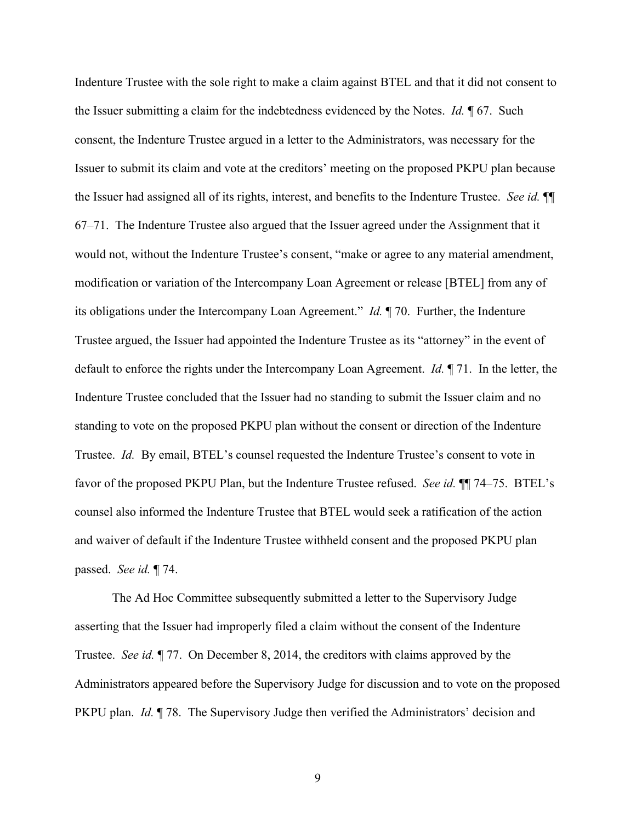Indenture Trustee with the sole right to make a claim against BTEL and that it did not consent to the Issuer submitting a claim for the indebtedness evidenced by the Notes. *Id.* ¶ 67. Such consent, the Indenture Trustee argued in a letter to the Administrators, was necessary for the Issuer to submit its claim and vote at the creditors' meeting on the proposed PKPU plan because the Issuer had assigned all of its rights, interest, and benefits to the Indenture Trustee. *See id.* ¶¶ 67–71. The Indenture Trustee also argued that the Issuer agreed under the Assignment that it would not, without the Indenture Trustee's consent, "make or agree to any material amendment, modification or variation of the Intercompany Loan Agreement or release [BTEL] from any of its obligations under the Intercompany Loan Agreement." *Id.* ¶ 70. Further, the Indenture Trustee argued, the Issuer had appointed the Indenture Trustee as its "attorney" in the event of default to enforce the rights under the Intercompany Loan Agreement. *Id.* ¶ 71. In the letter, the Indenture Trustee concluded that the Issuer had no standing to submit the Issuer claim and no standing to vote on the proposed PKPU plan without the consent or direction of the Indenture Trustee. *Id.* By email, BTEL's counsel requested the Indenture Trustee's consent to vote in favor of the proposed PKPU Plan, but the Indenture Trustee refused. *See id.* ¶¶ 74–75. BTEL's counsel also informed the Indenture Trustee that BTEL would seek a ratification of the action and waiver of default if the Indenture Trustee withheld consent and the proposed PKPU plan passed. *See id.* ¶ 74.

The Ad Hoc Committee subsequently submitted a letter to the Supervisory Judge asserting that the Issuer had improperly filed a claim without the consent of the Indenture Trustee. *See id.* ¶ 77. On December 8, 2014, the creditors with claims approved by the Administrators appeared before the Supervisory Judge for discussion and to vote on the proposed PKPU plan. *Id.* ¶ 78. The Supervisory Judge then verified the Administrators' decision and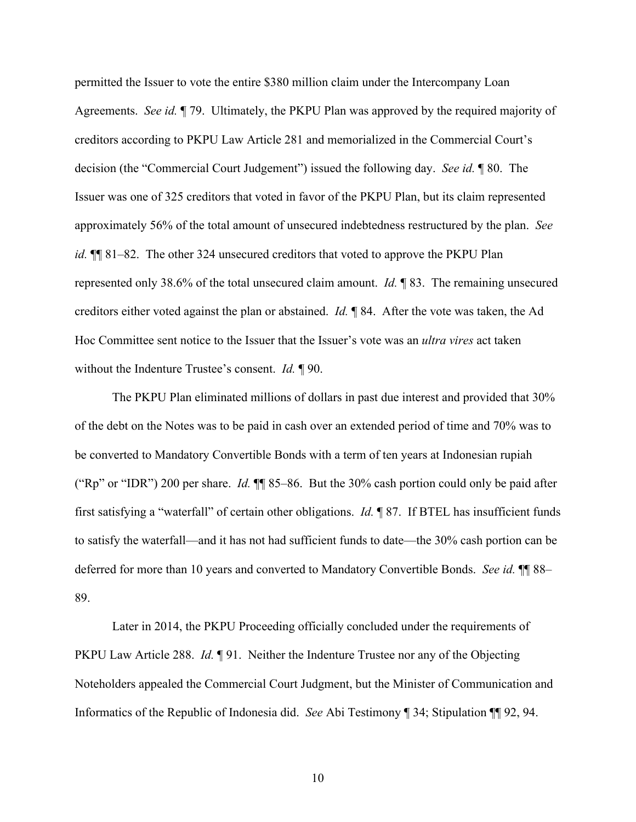permitted the Issuer to vote the entire \$380 million claim under the Intercompany Loan Agreements. *See id.* ¶ 79. Ultimately, the PKPU Plan was approved by the required majority of creditors according to PKPU Law Article 281 and memorialized in the Commercial Court's decision (the "Commercial Court Judgement") issued the following day. *See id.* ¶ 80. The Issuer was one of 325 creditors that voted in favor of the PKPU Plan, but its claim represented approximately 56% of the total amount of unsecured indebtedness restructured by the plan. *See id.* ¶¶ 81–82. The other 324 unsecured creditors that voted to approve the PKPU Plan represented only 38.6% of the total unsecured claim amount. *Id.* ¶ 83. The remaining unsecured creditors either voted against the plan or abstained. *Id.* ¶ 84. After the vote was taken, the Ad Hoc Committee sent notice to the Issuer that the Issuer's vote was an *ultra vires* act taken without the Indenture Trustee's consent. *Id.* ¶ 90.

The PKPU Plan eliminated millions of dollars in past due interest and provided that 30% of the debt on the Notes was to be paid in cash over an extended period of time and 70% was to be converted to Mandatory Convertible Bonds with a term of ten years at Indonesian rupiah ("Rp" or "IDR") 200 per share. *Id.* ¶¶ 85–86. But the 30% cash portion could only be paid after first satisfying a "waterfall" of certain other obligations. *Id.* ¶ 87. If BTEL has insufficient funds to satisfy the waterfall—and it has not had sufficient funds to date—the 30% cash portion can be deferred for more than 10 years and converted to Mandatory Convertible Bonds. *See id.* ¶¶ 88– 89.

Later in 2014, the PKPU Proceeding officially concluded under the requirements of PKPU Law Article 288. *Id.* ¶ 91. Neither the Indenture Trustee nor any of the Objecting Noteholders appealed the Commercial Court Judgment, but the Minister of Communication and Informatics of the Republic of Indonesia did. *See* Abi Testimony ¶ 34; Stipulation ¶¶ 92, 94.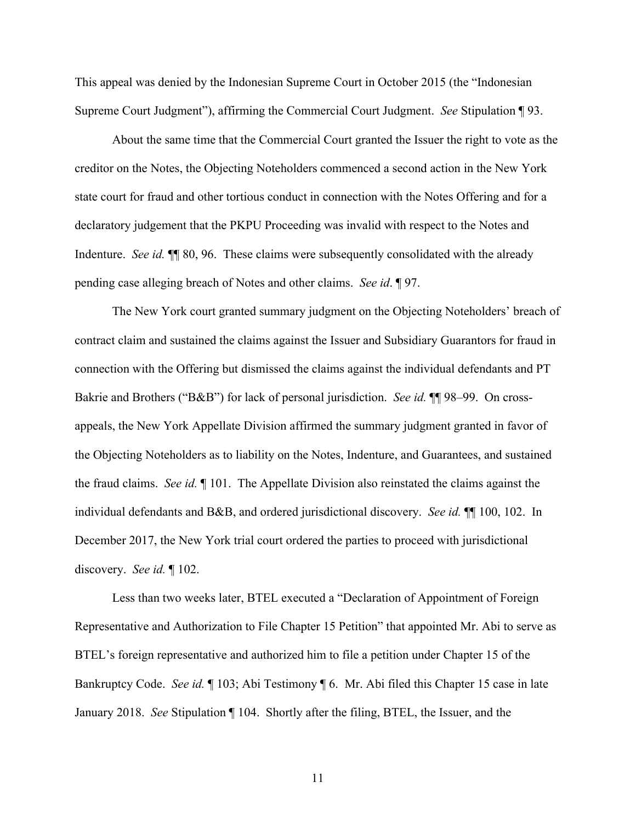This appeal was denied by the Indonesian Supreme Court in October 2015 (the "Indonesian Supreme Court Judgment"), affirming the Commercial Court Judgment. *See* Stipulation ¶ 93.

About the same time that the Commercial Court granted the Issuer the right to vote as the creditor on the Notes, the Objecting Noteholders commenced a second action in the New York state court for fraud and other tortious conduct in connection with the Notes Offering and for a declaratory judgement that the PKPU Proceeding was invalid with respect to the Notes and Indenture. *See id.* ¶¶ 80, 96. These claims were subsequently consolidated with the already pending case alleging breach of Notes and other claims. *See id*. ¶ 97.

The New York court granted summary judgment on the Objecting Noteholders' breach of contract claim and sustained the claims against the Issuer and Subsidiary Guarantors for fraud in connection with the Offering but dismissed the claims against the individual defendants and PT Bakrie and Brothers ("B&B") for lack of personal jurisdiction. *See id.* ¶¶ 98–99. On crossappeals, the New York Appellate Division affirmed the summary judgment granted in favor of the Objecting Noteholders as to liability on the Notes, Indenture, and Guarantees, and sustained the fraud claims. *See id.* ¶ 101. The Appellate Division also reinstated the claims against the individual defendants and B&B, and ordered jurisdictional discovery. *See id.* ¶¶ 100, 102. In December 2017, the New York trial court ordered the parties to proceed with jurisdictional discovery. *See id.* ¶ 102.

Less than two weeks later, BTEL executed a "Declaration of Appointment of Foreign Representative and Authorization to File Chapter 15 Petition" that appointed Mr. Abi to serve as BTEL's foreign representative and authorized him to file a petition under Chapter 15 of the Bankruptcy Code. *See id.* ¶ 103; Abi Testimony ¶ 6. Mr. Abi filed this Chapter 15 case in late January 2018. *See* Stipulation ¶ 104. Shortly after the filing, BTEL, the Issuer, and the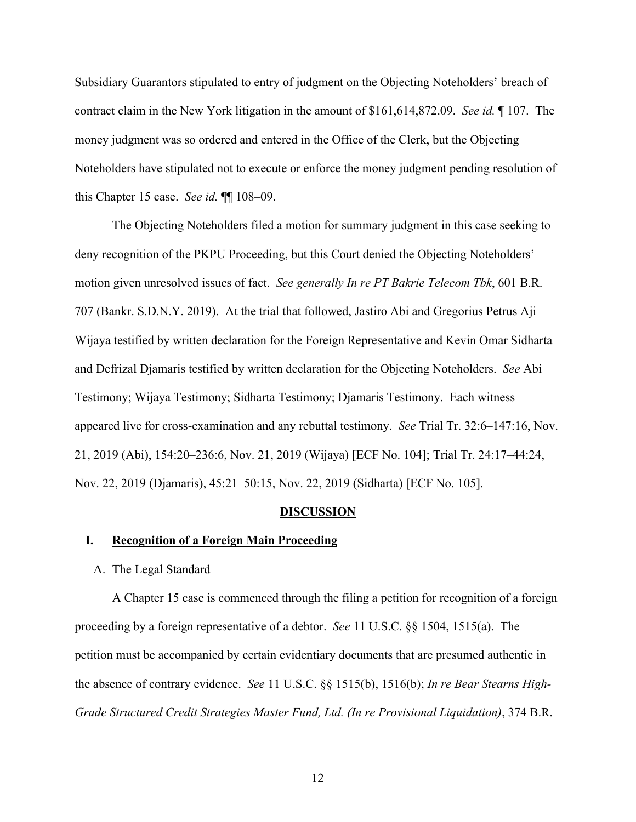Subsidiary Guarantors stipulated to entry of judgment on the Objecting Noteholders' breach of contract claim in the New York litigation in the amount of \$161,614,872.09. *See id.* ¶ 107. The money judgment was so ordered and entered in the Office of the Clerk, but the Objecting Noteholders have stipulated not to execute or enforce the money judgment pending resolution of this Chapter 15 case. *See id.* ¶¶ 108–09.

The Objecting Noteholders filed a motion for summary judgment in this case seeking to deny recognition of the PKPU Proceeding, but this Court denied the Objecting Noteholders' motion given unresolved issues of fact. *See generally In re PT Bakrie Telecom Tbk*, 601 B.R. 707 (Bankr. S.D.N.Y. 2019). At the trial that followed, Jastiro Abi and Gregorius Petrus Aji Wijaya testified by written declaration for the Foreign Representative and Kevin Omar Sidharta and Defrizal Djamaris testified by written declaration for the Objecting Noteholders. *See* Abi Testimony; Wijaya Testimony; Sidharta Testimony; Djamaris Testimony. Each witness appeared live for cross-examination and any rebuttal testimony. *See* Trial Tr. 32:6–147:16, Nov. 21, 2019 (Abi), 154:20–236:6, Nov. 21, 2019 (Wijaya) [ECF No. 104]; Trial Tr. 24:17–44:24, Nov. 22, 2019 (Djamaris), 45:21–50:15, Nov. 22, 2019 (Sidharta) [ECF No. 105].

#### **DISCUSSION**

## **I. Recognition of a Foreign Main Proceeding**

## A. The Legal Standard

A Chapter 15 case is commenced through the filing a petition for recognition of a foreign proceeding by a foreign representative of a debtor. *See* 11 U.S.C. §§ 1504, 1515(a). The petition must be accompanied by certain evidentiary documents that are presumed authentic in the absence of contrary evidence. *See* 11 U.S.C. §§ 1515(b), 1516(b); *In re Bear Stearns High-Grade Structured Credit Strategies Master Fund, Ltd. (In re Provisional Liquidation)*, 374 B.R.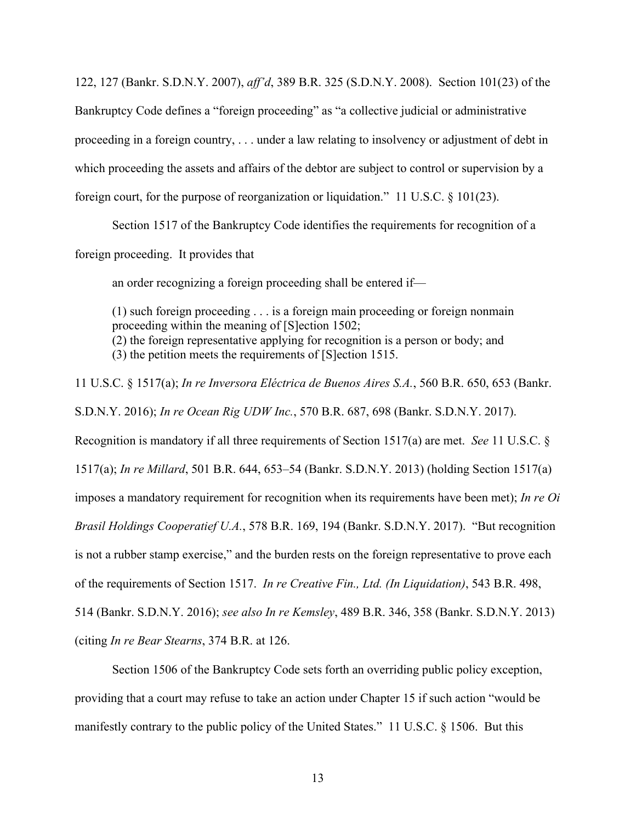122, 127 (Bankr. S.D.N.Y. 2007), *aff'd*, 389 B.R. 325 (S.D.N.Y. 2008). Section 101(23) of the Bankruptcy Code defines a "foreign proceeding" as "a collective judicial or administrative proceeding in a foreign country, . . . under a law relating to insolvency or adjustment of debt in which proceeding the assets and affairs of the debtor are subject to control or supervision by a foreign court, for the purpose of reorganization or liquidation." 11 U.S.C. § 101(23).

Section 1517 of the Bankruptcy Code identifies the requirements for recognition of a

foreign proceeding. It provides that

an order recognizing a foreign proceeding shall be entered if—

(1) such foreign proceeding . . . is a foreign main proceeding or foreign nonmain proceeding within the meaning of [S]ection 1502; (2) the foreign representative applying for recognition is a person or body; and (3) the petition meets the requirements of [S]ection 1515.

11 U.S.C. § 1517(a); *In re Inversora Eléctrica de Buenos Aires S.A.*, 560 B.R. 650, 653 (Bankr. S.D.N.Y. 2016); *In re Ocean Rig UDW Inc.*, 570 B.R. 687, 698 (Bankr. S.D.N.Y. 2017). Recognition is mandatory if all three requirements of Section 1517(a) are met. *See* 11 U.S.C. § 1517(a); *In re Millard*, 501 B.R. 644, 653–54 (Bankr. S.D.N.Y. 2013) (holding Section 1517(a) imposes a mandatory requirement for recognition when its requirements have been met); *In re Oi Brasil Holdings Cooperatief U.A.*, 578 B.R. 169, 194 (Bankr. S.D.N.Y. 2017). "But recognition is not a rubber stamp exercise," and the burden rests on the foreign representative to prove each of the requirements of Section 1517. *In re Creative Fin., Ltd. (In Liquidation)*, 543 B.R. 498, 514 (Bankr. S.D.N.Y. 2016); *see also In re Kemsley*, 489 B.R. 346, 358 (Bankr. S.D.N.Y. 2013) (citing *In re Bear Stearns*, 374 B.R. at 126.

Section 1506 of the Bankruptcy Code sets forth an overriding public policy exception, providing that a court may refuse to take an action under Chapter 15 if such action "would be manifestly contrary to the public policy of the United States." 11 U.S.C. § 1506. But this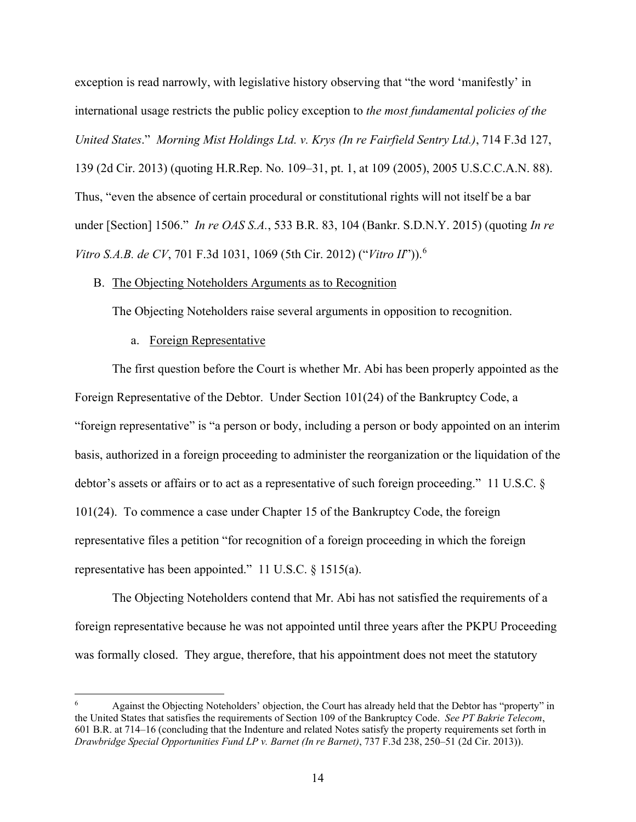exception is read narrowly, with legislative history observing that "the word 'manifestly' in international usage restricts the public policy exception to *the most fundamental policies of the United States*." *Morning Mist Holdings Ltd. v. Krys (In re Fairfield Sentry Ltd.)*, 714 F.3d 127, 139 (2d Cir. 2013) (quoting H.R.Rep. No. 109–31, pt. 1, at 109 (2005), 2005 U.S.C.C.A.N. 88). Thus, "even the absence of certain procedural or constitutional rights will not itself be a bar under [Section] 1506." *In re OAS S.A.*, 533 B.R. 83, 104 (Bankr. S.D.N.Y. 2015) (quoting *In re Vitro S.A.B. de CV*, 701 F.3d 1031, 1069 (5th Cir. 2012) ("*Vitro II*")). [6](#page-13-0)

## B. The Objecting Noteholders Arguments as to Recognition

The Objecting Noteholders raise several arguments in opposition to recognition.

### a. Foreign Representative

The first question before the Court is whether Mr. Abi has been properly appointed as the Foreign Representative of the Debtor. Under Section 101(24) of the Bankruptcy Code, a "foreign representative" is "a person or body, including a person or body appointed on an interim basis, authorized in a foreign proceeding to administer the reorganization or the liquidation of the debtor's assets or affairs or to act as a representative of such foreign proceeding." 11 U.S.C. § 101(24). To commence a case under Chapter 15 of the Bankruptcy Code, the foreign representative files a petition "for recognition of a foreign proceeding in which the foreign representative has been appointed." 11 U.S.C. § 1515(a).

The Objecting Noteholders contend that Mr. Abi has not satisfied the requirements of a foreign representative because he was not appointed until three years after the PKPU Proceeding was formally closed. They argue, therefore, that his appointment does not meet the statutory

<span id="page-13-0"></span><sup>6</sup> Against the Objecting Noteholders' objection, the Court has already held that the Debtor has "property" in the United States that satisfies the requirements of Section 109 of the Bankruptcy Code. *See PT Bakrie Telecom*, 601 B.R. at 714–16 (concluding that the Indenture and related Notes satisfy the property requirements set forth in *Drawbridge Special Opportunities Fund LP v. Barnet (In re Barnet)*, 737 F.3d 238, 250–51 (2d Cir. 2013)).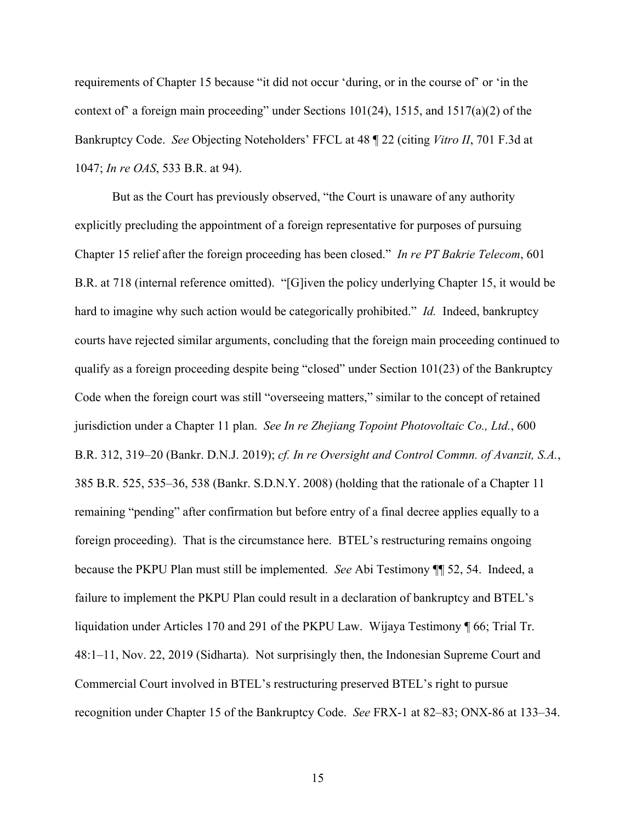requirements of Chapter 15 because "it did not occur 'during, or in the course of' or 'in the context of a foreign main proceeding" under Sections  $101(24)$ , 1515, and 1517(a)(2) of the Bankruptcy Code. *See* Objecting Noteholders' FFCL at 48 ¶ 22 (citing *Vitro II*, 701 F.3d at 1047; *In re OAS*, 533 B.R. at 94).

But as the Court has previously observed, "the Court is unaware of any authority explicitly precluding the appointment of a foreign representative for purposes of pursuing Chapter 15 relief after the foreign proceeding has been closed." *In re PT Bakrie Telecom*, 601 B.R. at 718 (internal reference omitted). "[G]iven the policy underlying Chapter 15, it would be hard to imagine why such action would be categorically prohibited." *Id.* Indeed, bankruptcy courts have rejected similar arguments, concluding that the foreign main proceeding continued to qualify as a foreign proceeding despite being "closed" under Section 101(23) of the Bankruptcy Code when the foreign court was still "overseeing matters," similar to the concept of retained jurisdiction under a Chapter 11 plan. *See In re Zhejiang Topoint Photovoltaic Co., Ltd.*, 600 B.R. 312, 319–20 (Bankr. D.N.J. 2019); *cf. In re Oversight and Control Commn. of Avanzit, S.A.*, 385 B.R. 525, 535–36, 538 (Bankr. S.D.N.Y. 2008) (holding that the rationale of a Chapter 11 remaining "pending" after confirmation but before entry of a final decree applies equally to a foreign proceeding). That is the circumstance here. BTEL's restructuring remains ongoing because the PKPU Plan must still be implemented. *See* Abi Testimony ¶¶ 52, 54. Indeed, a failure to implement the PKPU Plan could result in a declaration of bankruptcy and BTEL's liquidation under Articles 170 and 291 of the PKPU Law. Wijaya Testimony ¶ 66; Trial Tr. 48:1–11, Nov. 22, 2019 (Sidharta). Not surprisingly then, the Indonesian Supreme Court and Commercial Court involved in BTEL's restructuring preserved BTEL's right to pursue recognition under Chapter 15 of the Bankruptcy Code. *See* FRX-1 at 82–83; ONX-86 at 133–34.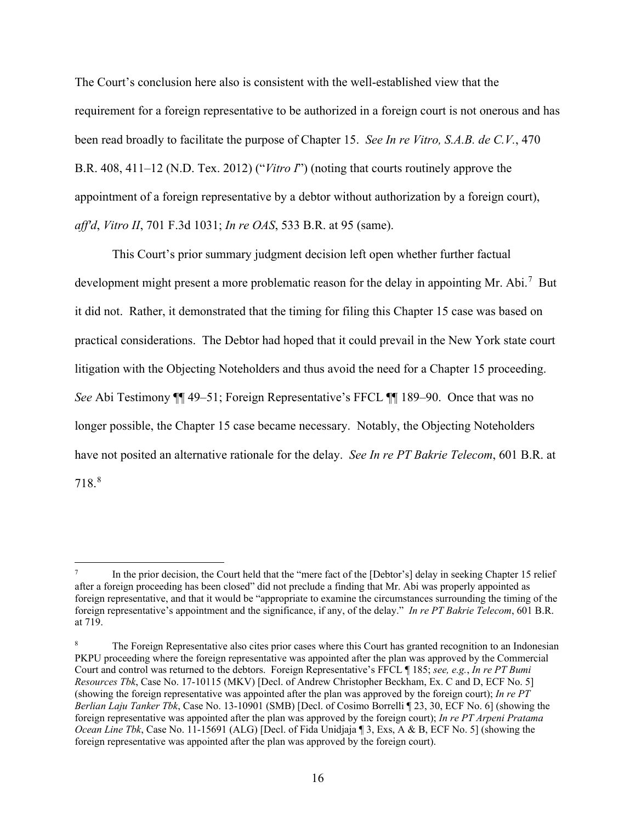The Court's conclusion here also is consistent with the well-established view that the requirement for a foreign representative to be authorized in a foreign court is not onerous and has been read broadly to facilitate the purpose of Chapter 15. *See In re Vitro, S.A.B. de C.V.*, 470 B.R. 408, 411–12 (N.D. Tex. 2012) ("*Vitro I*") (noting that courts routinely approve the appointment of a foreign representative by a debtor without authorization by a foreign court), *aff'd*, *Vitro II*, 701 F.3d 1031; *In re OAS*, 533 B.R. at 95 (same).

This Court's prior summary judgment decision left open whether further factual development might present a more problematic reason for the delay in appointing Mr. Abi.<sup>[7](#page-15-0)</sup> But it did not. Rather, it demonstrated that the timing for filing this Chapter 15 case was based on practical considerations. The Debtor had hoped that it could prevail in the New York state court litigation with the Objecting Noteholders and thus avoid the need for a Chapter 15 proceeding. *See* Abi Testimony  $\P$  49–51; Foreign Representative's FFCL  $\P$  189–90. Once that was no longer possible, the Chapter 15 case became necessary. Notably, the Objecting Noteholders have not posited an alternative rationale for the delay. *See In re PT Bakrie Telecom*, 601 B.R. at 718.[8](#page-15-1)

<span id="page-15-0"></span>In the prior decision, the Court held that the "mere fact of the [Debtor's] delay in seeking Chapter 15 relief after a foreign proceeding has been closed" did not preclude a finding that Mr. Abi was properly appointed as foreign representative, and that it would be "appropriate to examine the circumstances surrounding the timing of the foreign representative's appointment and the significance, if any, of the delay." *In re PT Bakrie Telecom*, 601 B.R. at 719.

<span id="page-15-1"></span>The Foreign Representative also cites prior cases where this Court has granted recognition to an Indonesian PKPU proceeding where the foreign representative was appointed after the plan was approved by the Commercial Court and control was returned to the debtors. Foreign Representative's FFCL ¶ 185; *see, e.g.*, *In re PT Bumi Resources Tbk*, Case No. 17-10115 (MKV) [Decl. of Andrew Christopher Beckham, Ex. C and D, ECF No. 5] (showing the foreign representative was appointed after the plan was approved by the foreign court); *In re PT Berlian Laju Tanker Tbk*, Case No. 13-10901 (SMB) [Decl. of Cosimo Borrelli ¶ 23, 30, ECF No. 6] (showing the foreign representative was appointed after the plan was approved by the foreign court); *In re PT Arpeni Pratama Ocean Line Tbk*, Case No. 11-15691 (ALG) [Decl. of Fida Unidjaja ¶ 3, Exs, A & B, ECF No. 5] (showing the foreign representative was appointed after the plan was approved by the foreign court).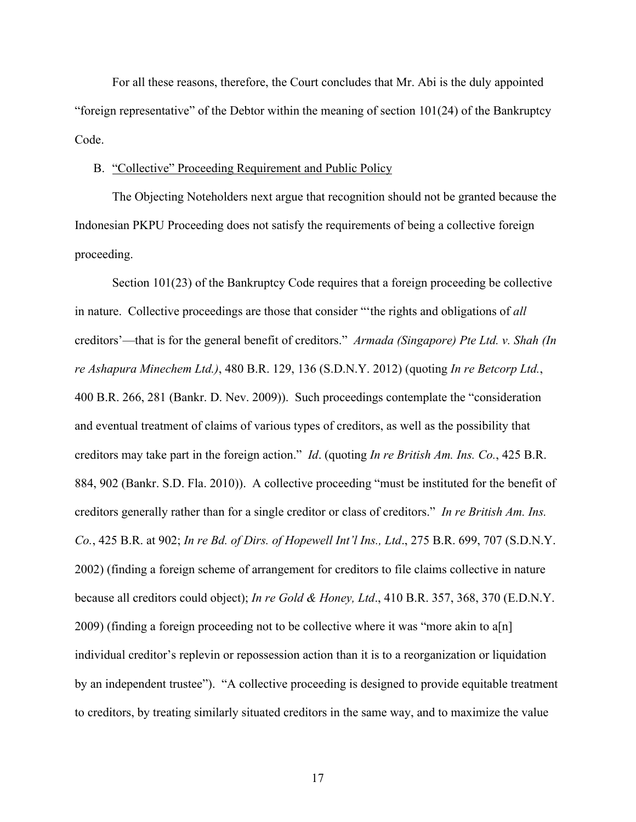For all these reasons, therefore, the Court concludes that Mr. Abi is the duly appointed "foreign representative" of the Debtor within the meaning of section 101(24) of the Bankruptcy Code.

### B. "Collective" Proceeding Requirement and Public Policy

The Objecting Noteholders next argue that recognition should not be granted because the Indonesian PKPU Proceeding does not satisfy the requirements of being a collective foreign proceeding.

Section 101(23) of the Bankruptcy Code requires that a foreign proceeding be collective in nature. Collective proceedings are those that consider "'the rights and obligations of *all* creditors'—that is for the general benefit of creditors." *Armada (Singapore) Pte Ltd. v. Shah (In re Ashapura Minechem Ltd.)*, 480 B.R. 129, 136 (S.D.N.Y. 2012) (quoting *In re Betcorp Ltd.*, 400 B.R. 266, 281 (Bankr. D. Nev. 2009)). Such proceedings contemplate the "consideration and eventual treatment of claims of various types of creditors, as well as the possibility that creditors may take part in the foreign action." *Id*. (quoting *In re British Am. Ins. Co.*, 425 B.R. 884, 902 (Bankr. S.D. Fla. 2010)). A collective proceeding "must be instituted for the benefit of creditors generally rather than for a single creditor or class of creditors." *In re British Am. Ins. Co.*, 425 B.R. at 902; *In re Bd. of Dirs. of Hopewell Int'l Ins., Ltd*., 275 B.R. 699, 707 (S.D.N.Y. 2002) (finding a foreign scheme of arrangement for creditors to file claims collective in nature because all creditors could object); *In re Gold & Honey, Ltd*., 410 B.R. 357, 368, 370 (E.D.N.Y. 2009) (finding a foreign proceeding not to be collective where it was "more akin to  $a[n]$ individual creditor's replevin or repossession action than it is to a reorganization or liquidation by an independent trustee"). "A collective proceeding is designed to provide equitable treatment to creditors, by treating similarly situated creditors in the same way, and to maximize the value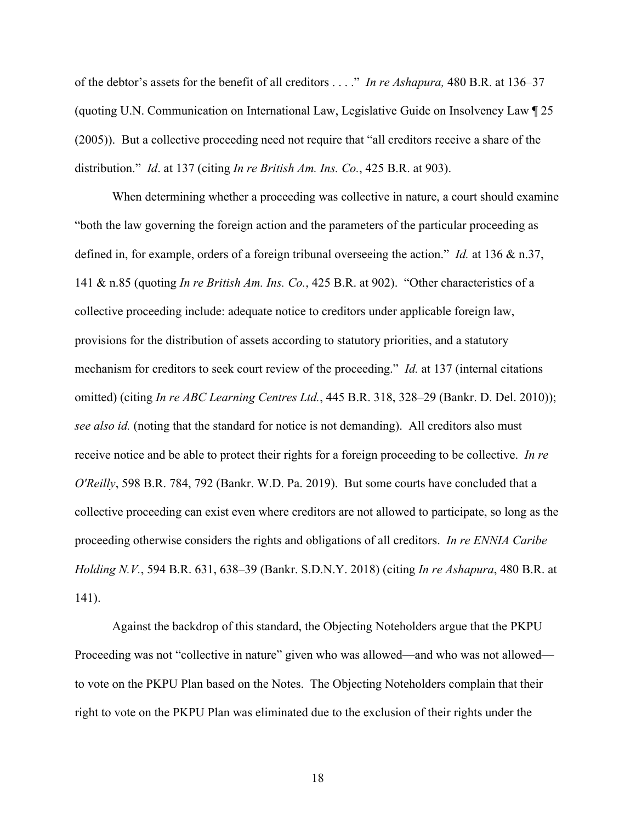of the debtor's assets for the benefit of all creditors . . . ." *In re Ashapura,* 480 B.R. at 136–37 (quoting U.N. Communication on International Law, Legislative Guide on Insolvency Law ¶ 25 (2005)). But a collective proceeding need not require that "all creditors receive a share of the distribution." *Id*. at 137 (citing *In re British Am. Ins. Co.*, 425 B.R. at 903).

When determining whether a proceeding was collective in nature, a court should examine "both the law governing the foreign action and the parameters of the particular proceeding as defined in, for example, orders of a foreign tribunal overseeing the action." *Id.* at 136 & n.37, 141 & n.85 (quoting *In re British Am. Ins. Co.*, 425 B.R. at 902). "Other characteristics of a collective proceeding include: adequate notice to creditors under applicable foreign law, provisions for the distribution of assets according to statutory priorities, and a statutory mechanism for creditors to seek court review of the proceeding." *Id.* at 137 (internal citations omitted) (citing *In re ABC Learning Centres Ltd.*, 445 B.R. 318, 328–29 (Bankr. D. Del. 2010)); *see also id.* (noting that the standard for notice is not demanding). All creditors also must receive notice and be able to protect their rights for a foreign proceeding to be collective. *In re O'Reilly*, 598 B.R. 784, 792 (Bankr. W.D. Pa. 2019). But some courts have concluded that a collective proceeding can exist even where creditors are not allowed to participate, so long as the proceeding otherwise considers the rights and obligations of all creditors. *In re ENNIA Caribe Holding N.V.*, 594 B.R. 631, 638–39 (Bankr. S.D.N.Y. 2018) (citing *In re Ashapura*, 480 B.R. at 141).

Against the backdrop of this standard, the Objecting Noteholders argue that the PKPU Proceeding was not "collective in nature" given who was allowed—and who was not allowed to vote on the PKPU Plan based on the Notes. The Objecting Noteholders complain that their right to vote on the PKPU Plan was eliminated due to the exclusion of their rights under the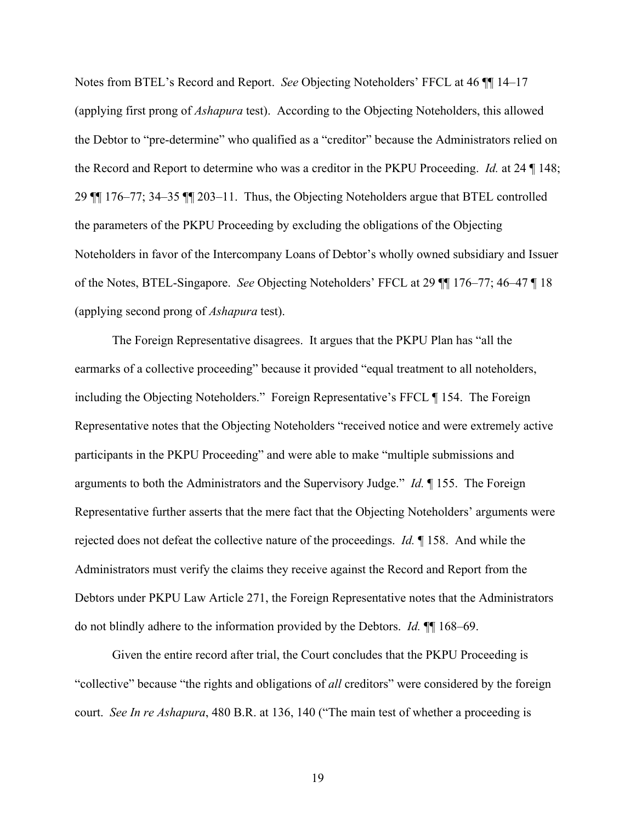Notes from BTEL's Record and Report. *See* Objecting Noteholders' FFCL at 46 ¶¶ 14–17 (applying first prong of *Ashapura* test). According to the Objecting Noteholders, this allowed the Debtor to "pre-determine" who qualified as a "creditor" because the Administrators relied on the Record and Report to determine who was a creditor in the PKPU Proceeding. *Id.* at 24 ¶ 148; 29 ¶¶ 176–77; 34–35 ¶¶ 203–11. Thus, the Objecting Noteholders argue that BTEL controlled the parameters of the PKPU Proceeding by excluding the obligations of the Objecting Noteholders in favor of the Intercompany Loans of Debtor's wholly owned subsidiary and Issuer of the Notes, BTEL-Singapore. *See* Objecting Noteholders' FFCL at 29 ¶¶ 176–77; 46–47 ¶ 18 (applying second prong of *Ashapura* test).

The Foreign Representative disagrees. It argues that the PKPU Plan has "all the earmarks of a collective proceeding" because it provided "equal treatment to all noteholders, including the Objecting Noteholders." Foreign Representative's FFCL ¶ 154. The Foreign Representative notes that the Objecting Noteholders "received notice and were extremely active participants in the PKPU Proceeding" and were able to make "multiple submissions and arguments to both the Administrators and the Supervisory Judge." *Id.* ¶ 155. The Foreign Representative further asserts that the mere fact that the Objecting Noteholders' arguments were rejected does not defeat the collective nature of the proceedings. *Id.* ¶ 158. And while the Administrators must verify the claims they receive against the Record and Report from the Debtors under PKPU Law Article 271, the Foreign Representative notes that the Administrators do not blindly adhere to the information provided by the Debtors. *Id.* ¶¶ 168–69.

Given the entire record after trial, the Court concludes that the PKPU Proceeding is "collective" because "the rights and obligations of *all* creditors" were considered by the foreign court. *See In re Ashapura*, 480 B.R. at 136, 140 ("The main test of whether a proceeding is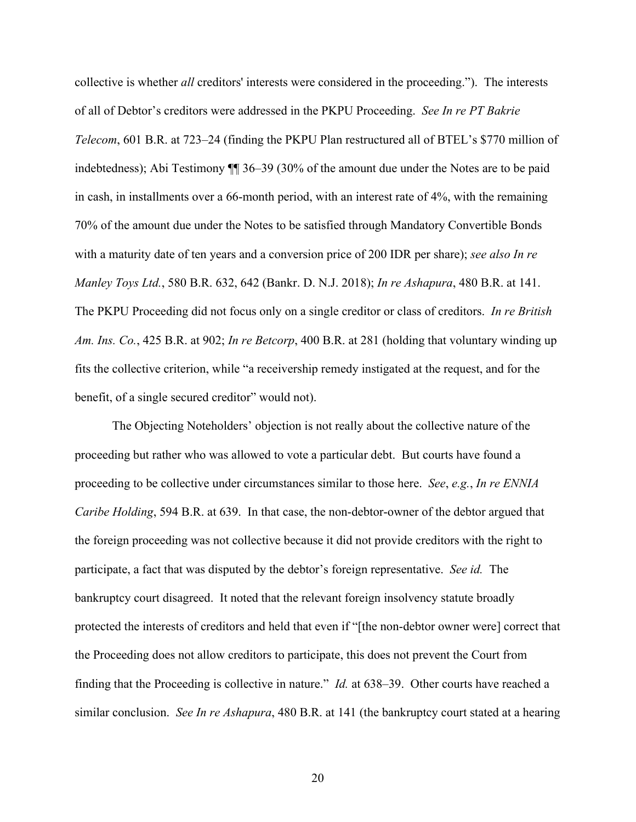collective is whether *all* creditors' interests were considered in the proceeding."). The interests of all of Debtor's creditors were addressed in the PKPU Proceeding. *See In re PT Bakrie Telecom*, 601 B.R. at 723–24 (finding the PKPU Plan restructured all of BTEL's \$770 million of indebtedness); Abi Testimony ¶¶ 36–39 (30% of the amount due under the Notes are to be paid in cash, in installments over a 66-month period, with an interest rate of 4%, with the remaining 70% of the amount due under the Notes to be satisfied through Mandatory Convertible Bonds with a maturity date of ten years and a conversion price of 200 IDR per share); *see also In re Manley Toys Ltd.*, 580 B.R. 632, 642 (Bankr. D. N.J. 2018); *In re Ashapura*, 480 B.R. at 141. The PKPU Proceeding did not focus only on a single creditor or class of creditors. *In re British Am. Ins. Co.*, 425 B.R. at 902; *In re Betcorp*, 400 B.R. at 281 (holding that voluntary winding up fits the collective criterion, while "a receivership remedy instigated at the request, and for the benefit, of a single secured creditor" would not).

The Objecting Noteholders' objection is not really about the collective nature of the proceeding but rather who was allowed to vote a particular debt. But courts have found a proceeding to be collective under circumstances similar to those here. *See*, *e.g.*, *In re ENNIA Caribe Holding*, 594 B.R. at 639. In that case, the non-debtor-owner of the debtor argued that the foreign proceeding was not collective because it did not provide creditors with the right to participate, a fact that was disputed by the debtor's foreign representative. *See id.* The bankruptcy court disagreed. It noted that the relevant foreign insolvency statute broadly protected the interests of creditors and held that even if "[the non-debtor owner were] correct that the Proceeding does not allow creditors to participate, this does not prevent the Court from finding that the Proceeding is collective in nature." *Id.* at 638–39. Other courts have reached a similar conclusion. *See In re Ashapura*, 480 B.R. at 141 (the bankruptcy court stated at a hearing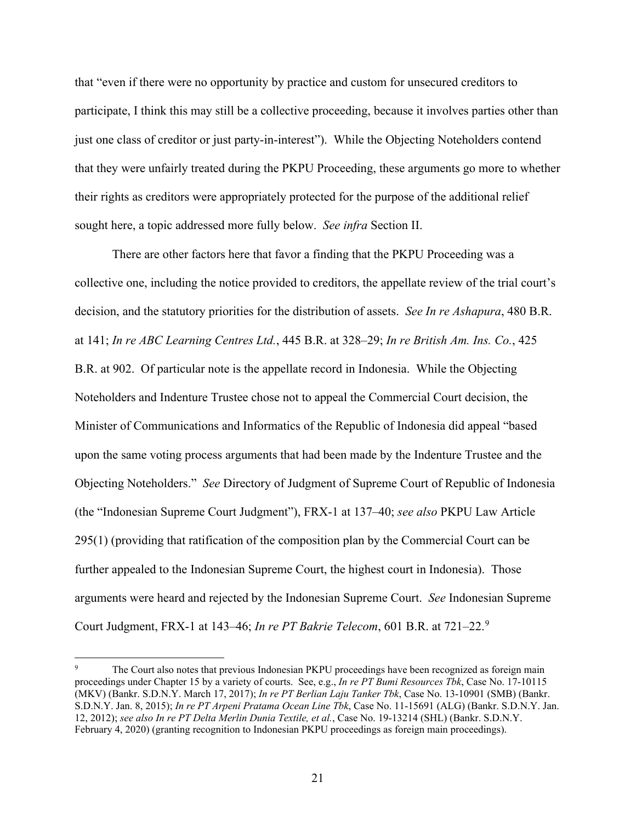that "even if there were no opportunity by practice and custom for unsecured creditors to participate, I think this may still be a collective proceeding, because it involves parties other than just one class of creditor or just party-in-interest"). While the Objecting Noteholders contend that they were unfairly treated during the PKPU Proceeding, these arguments go more to whether their rights as creditors were appropriately protected for the purpose of the additional relief sought here, a topic addressed more fully below. *See infra* Section II.

There are other factors here that favor a finding that the PKPU Proceeding was a collective one, including the notice provided to creditors, the appellate review of the trial court's decision, and the statutory priorities for the distribution of assets. *See In re Ashapura*, 480 B.R. at 141; *In re ABC Learning Centres Ltd.*, 445 B.R. at 328–29; *In re British Am. Ins. Co.*, 425 B.R. at 902. Of particular note is the appellate record in Indonesia. While the Objecting Noteholders and Indenture Trustee chose not to appeal the Commercial Court decision, the Minister of Communications and Informatics of the Republic of Indonesia did appeal "based upon the same voting process arguments that had been made by the Indenture Trustee and the Objecting Noteholders." *See* Directory of Judgment of Supreme Court of Republic of Indonesia (the "Indonesian Supreme Court Judgment"), FRX-1 at 137–40; *see also* PKPU Law Article 295(1) (providing that ratification of the composition plan by the Commercial Court can be further appealed to the Indonesian Supreme Court, the highest court in Indonesia). Those arguments were heard and rejected by the Indonesian Supreme Court. *See* Indonesian Supreme Court Judgment, FRX-1 at 143–46; *In re PT Bakrie Telecom*, 601 B.R. at 721–22.[9](#page-20-0)

<span id="page-20-0"></span>The Court also notes that previous Indonesian PKPU proceedings have been recognized as foreign main proceedings under Chapter 15 by a variety of courts. See, e.g., *In re PT Bumi Resources Tbk*, Case No. 17-10115 (MKV) (Bankr. S.D.N.Y. March 17, 2017); *In re PT Berlian Laju Tanker Tbk*, Case No. 13-10901 (SMB) (Bankr. S.D.N.Y. Jan. 8, 2015); *In re PT Arpeni Pratama Ocean Line Tbk*, Case No. 11-15691 (ALG) (Bankr. S.D.N.Y. Jan. 12, 2012); *see also In re PT Delta Merlin Dunia Textile, et al.*, Case No. 19-13214 (SHL) (Bankr. S.D.N.Y. February 4, 2020) (granting recognition to Indonesian PKPU proceedings as foreign main proceedings).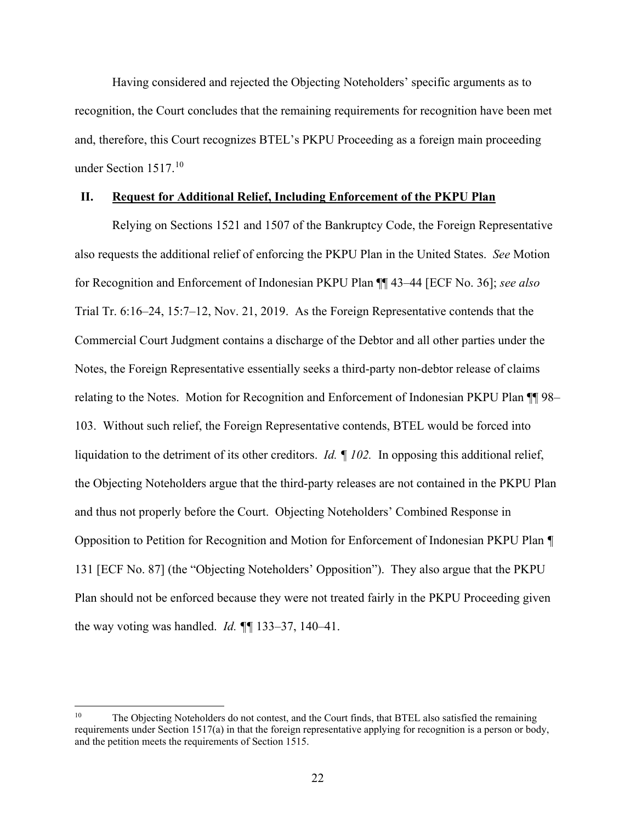Having considered and rejected the Objecting Noteholders' specific arguments as to recognition, the Court concludes that the remaining requirements for recognition have been met and, therefore, this Court recognizes BTEL's PKPU Proceeding as a foreign main proceeding under Section 1517. [10](#page-21-0)

## **II. Request for Additional Relief, Including Enforcement of the PKPU Plan**

Relying on Sections 1521 and 1507 of the Bankruptcy Code, the Foreign Representative also requests the additional relief of enforcing the PKPU Plan in the United States. *See* Motion for Recognition and Enforcement of Indonesian PKPU Plan ¶¶ 43–44 [ECF No. 36]; *see also* Trial Tr. 6:16–24, 15:7–12, Nov. 21, 2019. As the Foreign Representative contends that the Commercial Court Judgment contains a discharge of the Debtor and all other parties under the Notes, the Foreign Representative essentially seeks a third-party non-debtor release of claims relating to the Notes. Motion for Recognition and Enforcement of Indonesian PKPU Plan ¶¶ 98– 103. Without such relief, the Foreign Representative contends, BTEL would be forced into liquidation to the detriment of its other creditors. *Id. ¶ 102.* In opposing this additional relief, the Objecting Noteholders argue that the third-party releases are not contained in the PKPU Plan and thus not properly before the Court. Objecting Noteholders' Combined Response in Opposition to Petition for Recognition and Motion for Enforcement of Indonesian PKPU Plan *¶* 131 [ECF No. 87] (the "Objecting Noteholders' Opposition"). They also argue that the PKPU Plan should not be enforced because they were not treated fairly in the PKPU Proceeding given the way voting was handled. *Id. ¶¶* 133–37, 140–41.

<span id="page-21-0"></span><sup>&</sup>lt;sup>10</sup> The Objecting Noteholders do not contest, and the Court finds, that BTEL also satisfied the remaining requirements under Section 1517(a) in that the foreign representative applying for recognition is a person or body, and the petition meets the requirements of Section 1515.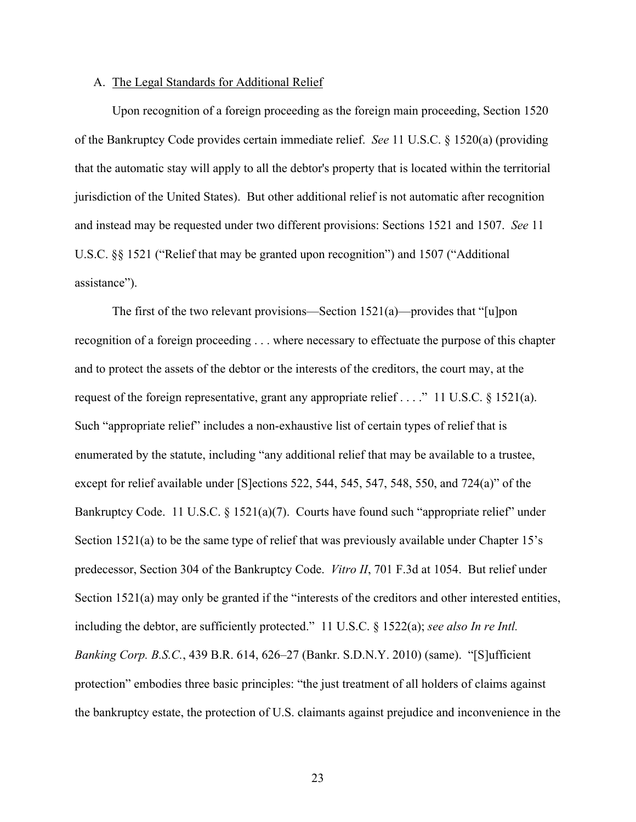## A. The Legal Standards for Additional Relief

Upon recognition of a foreign proceeding as the foreign main proceeding, Section 1520 of the Bankruptcy Code provides certain immediate relief. *See* 11 U.S.C. § 1520(a) (providing that the automatic stay will apply to all the debtor's property that is located within the territorial jurisdiction of the United States). But other additional relief is not automatic after recognition and instead may be requested under two different provisions: Sections 1521 and 1507. *See* 11 U.S.C. §§ 1521 ("Relief that may be granted upon recognition") and 1507 ("Additional assistance").

The first of the two relevant provisions—Section 1521(a)—provides that "[u]pon recognition of a foreign proceeding . . . where necessary to effectuate the purpose of this chapter and to protect the assets of the debtor or the interests of the creditors, the court may, at the request of the foreign representative, grant any appropriate relief . . . ." 11 U.S.C. § 1521(a). Such "appropriate relief" includes a non-exhaustive list of certain types of relief that is enumerated by the statute, including "any additional relief that may be available to a trustee, except for relief available under [S]ections 522, 544, 545, 547, 548, 550, and 724(a)" of the Bankruptcy Code. 11 U.S.C.  $\S$  1521(a)(7). Courts have found such "appropriate relief" under Section 1521(a) to be the same type of relief that was previously available under Chapter 15's predecessor, Section 304 of the Bankruptcy Code. *Vitro II*, 701 F.3d at 1054. But relief under Section 1521(a) may only be granted if the "interests of the creditors and other interested entities, including the debtor, are sufficiently protected." 11 U.S.C. § 1522(a); *see also In re Intl. Banking Corp. B.S.C.*, 439 B.R. 614, 626–27 (Bankr. S.D.N.Y. 2010) (same). "[S]ufficient protection" embodies three basic principles: "the just treatment of all holders of claims against the bankruptcy estate, the protection of U.S. claimants against prejudice and inconvenience in the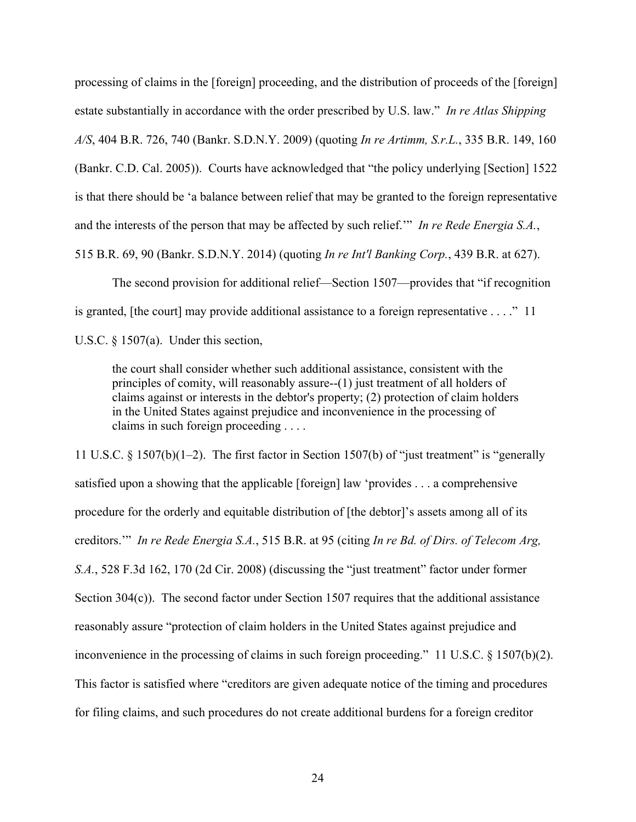processing of claims in the [foreign] proceeding, and the distribution of proceeds of the [foreign] estate substantially in accordance with the order prescribed by U.S. law." *In re Atlas Shipping A/S*, 404 B.R. 726, 740 (Bankr. S.D.N.Y. 2009) (quoting *In re Artimm, S.r.L.*, 335 B.R. 149, 160 (Bankr. C.D. Cal. 2005)). Courts have acknowledged that "the policy underlying [Section] 1522 is that there should be 'a balance between relief that may be granted to the foreign representative and the interests of the person that may be affected by such relief.'" *In re Rede Energia S.A.*,

515 B.R. 69, 90 (Bankr. S.D.N.Y. 2014) (quoting *In re Int'l Banking Corp.*, 439 B.R. at 627).

The second provision for additional relief—Section 1507—provides that "if recognition is granted, [the court] may provide additional assistance to a foreign representative . . . ." 11 U.S.C. § 1507(a). Under this section,

the court shall consider whether such additional assistance, consistent with the principles of comity, will reasonably assure--(1) just treatment of all holders of claims against or interests in the debtor's property; (2) protection of claim holders in the United States against prejudice and inconvenience in the processing of claims in such foreign proceeding . . . .

11 U.S.C. § 1507(b)(1–2). The first factor in Section 1507(b) of "just treatment" is "generally satisfied upon a showing that the applicable [foreign] law 'provides . . . a comprehensive procedure for the orderly and equitable distribution of [the debtor]'s assets among all of its creditors.'" *In re Rede Energia S.A.*, 515 B.R. at 95 (citing *In re Bd. of Dirs. of Telecom Arg, S.A.*, 528 F.3d 162, 170 (2d Cir. 2008) (discussing the "just treatment" factor under former Section 304(c)). The second factor under Section 1507 requires that the additional assistance reasonably assure "protection of claim holders in the United States against prejudice and inconvenience in the processing of claims in such foreign proceeding." 11 U.S.C. § 1507(b)(2). This factor is satisfied where "creditors are given adequate notice of the timing and procedures for filing claims, and such procedures do not create additional burdens for a foreign creditor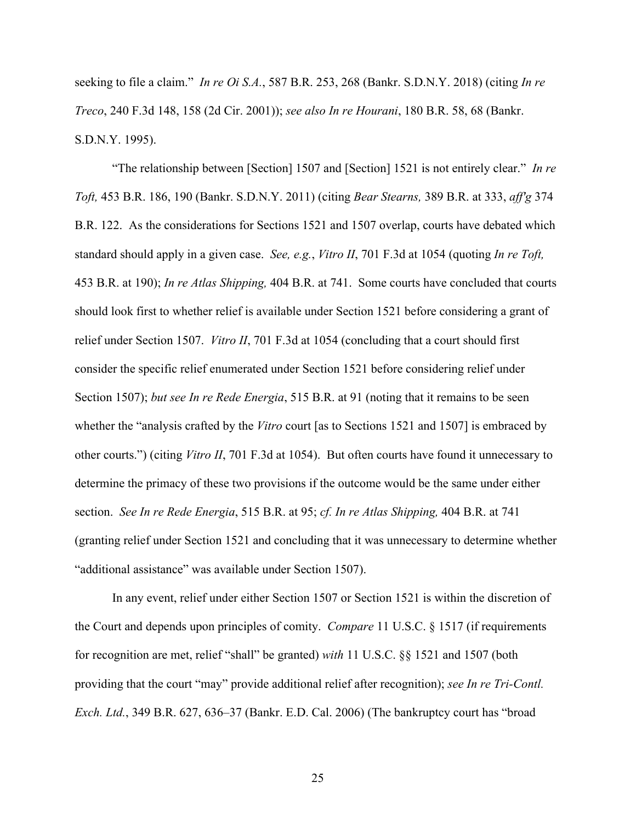seeking to file a claim." *In re Oi S.A.*, 587 B.R. 253, 268 (Bankr. S.D.N.Y. 2018) (citing *In re Treco*, 240 F.3d 148, 158 (2d Cir. 2001)); *see also In re Hourani*, 180 B.R. 58, 68 (Bankr. S.D.N.Y. 1995).

"The relationship between [Section] 1507 and [Section] 1521 is not entirely clear." *In re Toft,* 453 B.R. 186, 190 (Bankr. S.D.N.Y. 2011) (citing *Bear Stearns,* 389 B.R. at 333, *aff'g* 374 B.R. 122. As the considerations for Sections 1521 and 1507 overlap, courts have debated which standard should apply in a given case. *See, e.g.*, *Vitro II*, 701 F.3d at 1054 (quoting *In re Toft,* 453 B.R. at 190); *In re Atlas Shipping,* 404 B.R. at 741. Some courts have concluded that courts should look first to whether relief is available under Section 1521 before considering a grant of relief under Section 1507. *Vitro II*, 701 F.3d at 1054 (concluding that a court should first consider the specific relief enumerated under Section 1521 before considering relief under Section 1507); *but see In re Rede Energia*, 515 B.R. at 91 (noting that it remains to be seen whether the "analysis crafted by the *Vitro* court [as to Sections 1521 and 1507] is embraced by other courts.") (citing *Vitro II*, 701 F.3d at 1054). But often courts have found it unnecessary to determine the primacy of these two provisions if the outcome would be the same under either section. *See In re Rede Energia*, 515 B.R. at 95; *cf. In re Atlas Shipping,* 404 B.R. at 741 (granting relief under Section 1521 and concluding that it was unnecessary to determine whether "additional assistance" was available under Section 1507).

In any event, relief under either Section 1507 or Section 1521 is within the discretion of the Court and depends upon principles of comity. *Compare* 11 U.S.C. § 1517 (if requirements for recognition are met, relief "shall" be granted) *with* 11 U.S.C. §§ 1521 and 1507 (both providing that the court "may" provide additional relief after recognition); *see In re Tri-Contl. Exch. Ltd.*, 349 B.R. 627, 636–37 (Bankr. E.D. Cal. 2006) (The bankruptcy court has "broad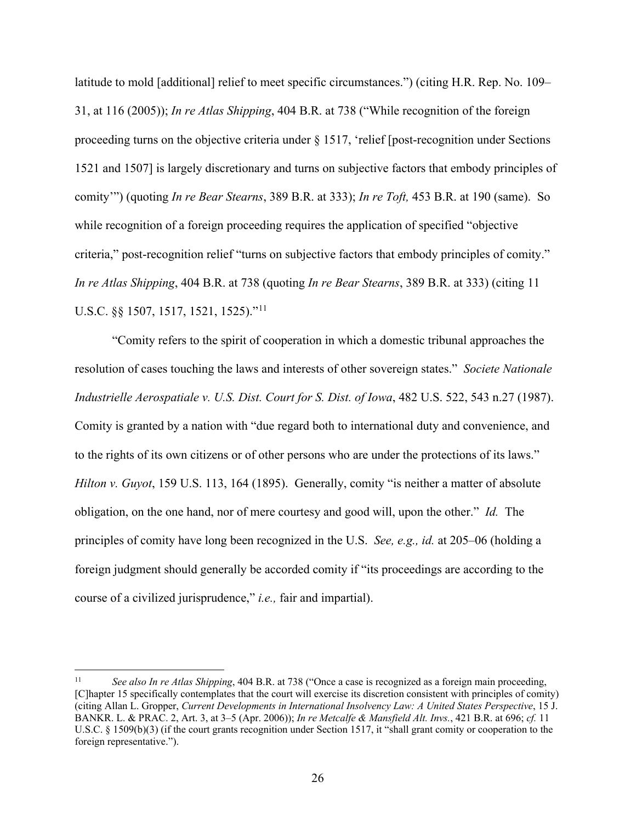latitude to mold [additional] relief to meet specific circumstances.") (citing H.R. Rep. No. 109– 31, at 116 (2005)); *In re Atlas Shipping*, 404 B.R. at 738 ("While recognition of the foreign proceeding turns on the objective criteria under  $\S$  1517, 'relief [post-recognition under Sections] 1521 and 1507] is largely discretionary and turns on subjective factors that embody principles of comity'") (quoting *In re Bear Stearns*, 389 B.R. at 333); *In re Toft,* 453 B.R. at 190 (same). So while recognition of a foreign proceeding requires the application of specified "objective criteria," post-recognition relief "turns on subjective factors that embody principles of comity." *In re Atlas Shipping*, 404 B.R. at 738 (quoting *In re Bear Stearns*, 389 B.R. at 333) (citing 11 U.S.C.  $\&$  1507, 1517, 1521, 1525)."<sup>[11](#page-25-0)</sup>

"Comity refers to the spirit of cooperation in which a domestic tribunal approaches the resolution of cases touching the laws and interests of other sovereign states." *Societe Nationale Industrielle Aerospatiale v. U.S. Dist. Court for S. Dist. of Iowa*, 482 U.S. 522, 543 n.27 (1987). Comity is granted by a nation with "due regard both to international duty and convenience, and to the rights of its own citizens or of other persons who are under the protections of its laws." *Hilton v. Guyot*, 159 U.S. 113, 164 (1895). Generally, comity "is neither a matter of absolute obligation, on the one hand, nor of mere courtesy and good will, upon the other." *Id.* The principles of comity have long been recognized in the U.S. *See, e.g., id.* at 205–06 (holding a foreign judgment should generally be accorded comity if "its proceedings are according to the course of a civilized jurisprudence," *i.e.,* fair and impartial).

<span id="page-25-0"></span><sup>11</sup> *See also In re Atlas Shipping*, 404 B.R. at 738 ("Once a case is recognized as a foreign main proceeding, [C]hapter 15 specifically contemplates that the court will exercise its discretion consistent with principles of comity) (citing Allan L. Gropper, *Current Developments in International Insolvency Law: A United States Perspective*, 15 J. BANKR. L. & PRAC. 2, Art. 3, at 3–5 (Apr. 2006)); *In re Metcalfe & Mansfield Alt. Invs.*, 421 B.R. at 696; *cf.* 11 U.S.C. § 1509(b)(3) (if the court grants recognition under Section 1517, it "shall grant comity or cooperation to the foreign representative.").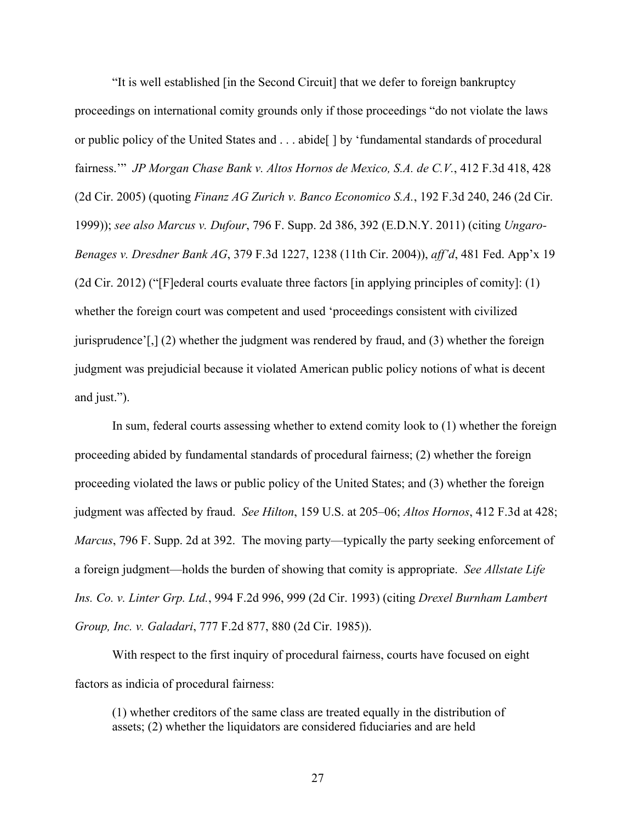"It is well established [in the Second Circuit] that we defer to foreign bankruptcy proceedings on international comity grounds only if those proceedings "do not violate the laws or public policy of the United States and . . . abide[ ] by 'fundamental standards of procedural fairness.'" *JP Morgan Chase Bank v. Altos Hornos de Mexico, S.A. de C.V.*, 412 F.3d 418, 428 (2d Cir. 2005) (quoting *Finanz AG Zurich v. Banco Economico S.A.*, 192 F.3d 240, 246 (2d Cir. 1999)); *see also Marcus v. Dufour*, 796 F. Supp. 2d 386, 392 (E.D.N.Y. 2011) (citing *Ungaro-Benages v. Dresdner Bank AG*, 379 F.3d 1227, 1238 (11th Cir. 2004)), *aff'd*, 481 Fed. App'x 19 (2d Cir. 2012) ("[F]ederal courts evaluate three factors [in applying principles of comity]: (1) whether the foreign court was competent and used 'proceedings consistent with civilized jurisprudence'[,]  $(2)$  whether the judgment was rendered by fraud, and  $(3)$  whether the foreign judgment was prejudicial because it violated American public policy notions of what is decent and just.").

In sum, federal courts assessing whether to extend comity look to (1) whether the foreign proceeding abided by fundamental standards of procedural fairness; (2) whether the foreign proceeding violated the laws or public policy of the United States; and (3) whether the foreign judgment was affected by fraud. *See Hilton*, 159 U.S. at 205–06; *Altos Hornos*, 412 F.3d at 428; *Marcus*, 796 F. Supp. 2d at 392. The moving party—typically the party seeking enforcement of a foreign judgment—holds the burden of showing that comity is appropriate. *See Allstate Life Ins. Co. v. Linter Grp. Ltd.*, 994 F.2d 996, 999 (2d Cir. 1993) (citing *Drexel Burnham Lambert Group, Inc. v. Galadari*, 777 F.2d 877, 880 (2d Cir. 1985)).

With respect to the first inquiry of procedural fairness, courts have focused on eight factors as indicia of procedural fairness:

(1) whether creditors of the same class are treated equally in the distribution of assets; (2) whether the liquidators are considered fiduciaries and are held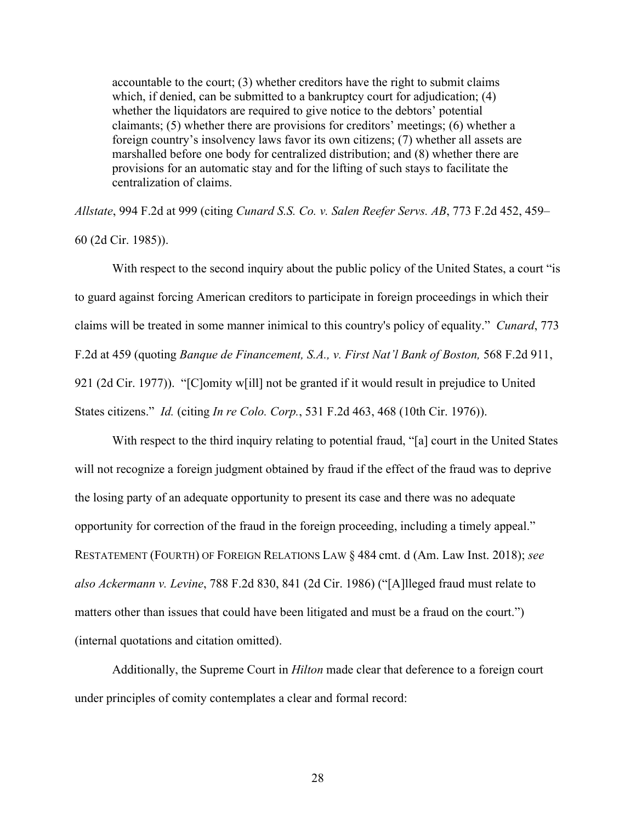accountable to the court; (3) whether creditors have the right to submit claims which, if denied, can be submitted to a bankruptcy court for adjudication; (4) whether the liquidators are required to give notice to the debtors' potential claimants; (5) whether there are provisions for creditors' meetings; (6) whether a foreign country's insolvency laws favor its own citizens; (7) whether all assets are marshalled before one body for centralized distribution; and (8) whether there are provisions for an automatic stay and for the lifting of such stays to facilitate the centralization of claims.

*Allstate*, 994 F.2d at 999 (citing *Cunard S.S. Co. v. Salen Reefer Servs. AB*, 773 F.2d 452, 459– 60 (2d Cir. 1985)).

With respect to the second inquiry about the public policy of the United States, a court "is to guard against forcing American creditors to participate in foreign proceedings in which their claims will be treated in some manner inimical to this country's policy of equality." *Cunard*, 773 F.2d at 459 (quoting *Banque de Financement, S.A., v. First Nat'l Bank of Boston,* 568 F.2d 911, 921 (2d Cir. 1977)). "[C]omity w[ill] not be granted if it would result in prejudice to United States citizens." *Id.* (citing *In re Colo. Corp.*, 531 F.2d 463, 468 (10th Cir. 1976)).

With respect to the third inquiry relating to potential fraud, "[a] court in the United States will not recognize a foreign judgment obtained by fraud if the effect of the fraud was to deprive the losing party of an adequate opportunity to present its case and there was no adequate opportunity for correction of the fraud in the foreign proceeding, including a timely appeal." RESTATEMENT (FOURTH) OF FOREIGN RELATIONS LAW § 484 cmt. d (Am. Law Inst. 2018); *see also Ackermann v. Levine*, 788 F.2d 830, 841 (2d Cir. 1986) ("[A]lleged fraud must relate to matters other than issues that could have been litigated and must be a fraud on the court.") (internal quotations and citation omitted).

Additionally, the Supreme Court in *Hilton* made clear that deference to a foreign court under principles of comity contemplates a clear and formal record: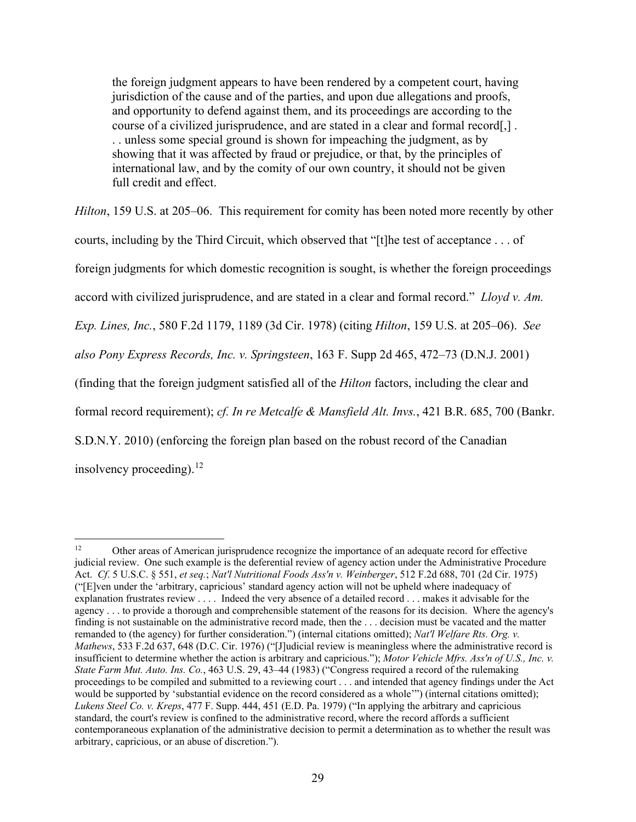the foreign judgment appears to have been rendered by a competent court, having jurisdiction of the cause and of the parties, and upon due allegations and proofs, and opportunity to defend against them, and its proceedings are according to the course of a civilized jurisprudence, and are stated in a clear and formal record[,] . . . unless some special ground is shown for impeaching the judgment, as by showing that it was affected by fraud or prejudice, or that, by the principles of international law, and by the comity of our own country, it should not be given full credit and effect.

*Hilton*, 159 U.S. at 205–06. This requirement for comity has been noted more recently by other courts, including by the Third Circuit, which observed that "[t]he test of acceptance . . . of foreign judgments for which domestic recognition is sought, is whether the foreign proceedings accord with civilized jurisprudence, and are stated in a clear and formal record." *Lloyd v. Am. Exp. Lines, Inc.*, 580 F.2d 1179, 1189 (3d Cir. 1978) (citing *Hilton*, 159 U.S. at 205–06). *See also Pony Express Records, Inc. v. Springsteen*, 163 F. Supp 2d 465, 472–73 (D.N.J. 2001) (finding that the foreign judgment satisfied all of the *Hilton* factors, including the clear and formal record requirement); *cf. In re Metcalfe & Mansfield Alt. Invs.*, 421 B.R. 685, 700 (Bankr. S.D.N.Y. 2010) (enforcing the foreign plan based on the robust record of the Canadian insolvency proceeding).  $12$ 

<span id="page-28-0"></span><sup>&</sup>lt;sup>12</sup> Other areas of American jurisprudence recognize the importance of an adequate record for effective judicial review. One such example is the deferential review of agency action under the Administrative Procedure Act. *Cf*. 5 U.S.C. § 551, *et seq.*; *Nat'l Nutritional Foods Ass'n v. Weinberger*, 512 F.2d 688, 701 (2d Cir. 1975) ("[E]ven under the 'arbitrary, capricious' standard agency action will not be upheld where inadequacy of explanation frustrates review . . . . Indeed the very absence of a detailed record . . . makes it advisable for the agency . . . to provide a thorough and comprehensible statement of the reasons for its decision. Where the agency's finding is not sustainable on the administrative record made, then the . . . decision must be vacated and the matter remanded to (the agency) for further consideration.") (internal citations omitted); *Nat'l Welfare Rts. Org. v. Mathews*, 533 F.2d 637, 648 (D.C. Cir. 1976) ("[J]udicial review is meaningless where the administrative record is insufficient to determine whether the action is arbitrary and capricious."); *Motor Vehicle Mfrs. Ass'n of U.S., Inc. v. State Farm Mut. Auto. Ins. Co.*, 463 U.S. 29, 43–44 (1983) ("Congress required a record of the rulemaking proceedings to be compiled and submitted to a reviewing court . . . and intended that agency findings under the Act would be supported by 'substantial evidence on the record considered as a whole'") (internal citations omitted); *Lukens Steel Co. v. Kreps*, 477 F. Supp. 444, 451 (E.D. Pa. 1979) ("In applying the arbitrary and capricious standard, the court's review is confined to the administrative record, where the record affords a sufficient contemporaneous explanation of the administrative decision to permit a determination as to whether the result was arbitrary, capricious, or an abuse of discretion.").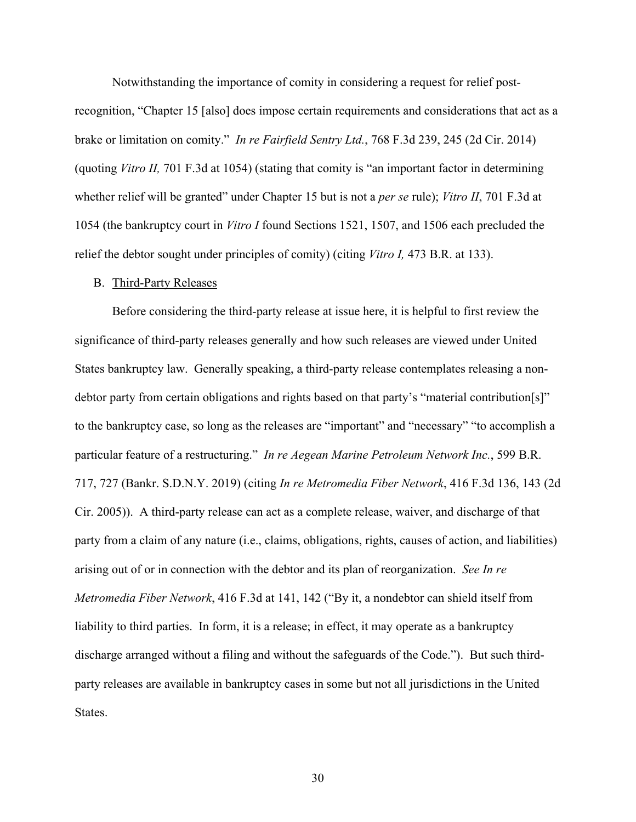Notwithstanding the importance of comity in considering a request for relief post-

recognition, "Chapter 15 [also] does impose certain requirements and considerations that act as a brake or limitation on comity." *In re Fairfield Sentry Ltd.*, 768 F.3d 239, 245 (2d Cir. 2014) (quoting *Vitro II,* 701 F.3d at 1054) (stating that comity is "an important factor in determining whether relief will be granted" under Chapter 15 but is not a *per se* rule); *Vitro II*, 701 F.3d at 1054 (the bankruptcy court in *Vitro I* found Sections 1521, 1507, and 1506 each precluded the relief the debtor sought under principles of comity) (citing *Vitro I,* 473 B.R. at 133).

## B. Third-Party Releases

Before considering the third-party release at issue here, it is helpful to first review the significance of third-party releases generally and how such releases are viewed under United States bankruptcy law. Generally speaking, a third-party release contemplates releasing a nondebtor party from certain obligations and rights based on that party's "material contribution[s]" to the bankruptcy case, so long as the releases are "important" and "necessary" "to accomplish a particular feature of a restructuring." *In re Aegean Marine Petroleum Network Inc.*, 599 B.R. 717, 727 (Bankr. S.D.N.Y. 2019) (citing *In re Metromedia Fiber Network*, 416 F.3d 136, 143 (2d Cir. 2005)). A third-party release can act as a complete release, waiver, and discharge of that party from a claim of any nature (i.e., claims, obligations, rights, causes of action, and liabilities) arising out of or in connection with the debtor and its plan of reorganization. *See In re Metromedia Fiber Network*, 416 F.3d at 141, 142 ("By it, a nondebtor can shield itself from liability to third parties. In form, it is a release; in effect, it may operate as a bankruptcy discharge arranged without a filing and without the safeguards of the Code."). But such thirdparty releases are available in bankruptcy cases in some but not all jurisdictions in the United States.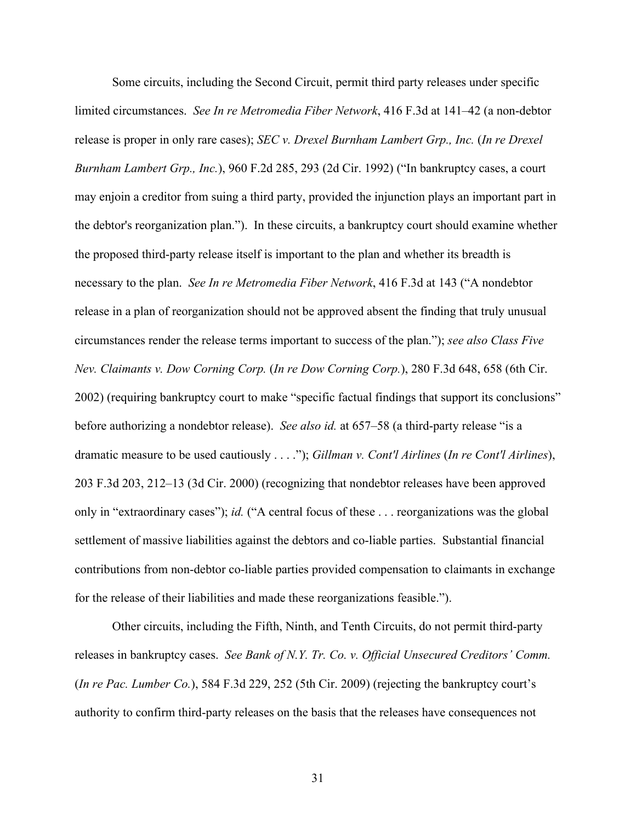Some circuits, including the Second Circuit, permit third party releases under specific limited circumstances. *See In re Metromedia Fiber Network*, 416 F.3d at 141–42 (a non-debtor release is proper in only rare cases); *SEC v. Drexel Burnham Lambert Grp., Inc.* (*In re Drexel Burnham Lambert Grp., Inc.*), 960 F.2d 285, 293 (2d Cir. 1992) ("In bankruptcy cases, a court may enjoin a creditor from suing a third party, provided the injunction plays an important part in the debtor's reorganization plan."). In these circuits, a bankruptcy court should examine whether the proposed third-party release itself is important to the plan and whether its breadth is necessary to the plan. *See In re Metromedia Fiber Network*, 416 F.3d at 143 ("A nondebtor release in a plan of reorganization should not be approved absent the finding that truly unusual circumstances render the release terms important to success of the plan."); *see also Class Five Nev. Claimants v. Dow Corning Corp.* (*In re Dow Corning Corp.*), 280 F.3d 648, 658 (6th Cir. 2002) (requiring bankruptcy court to make "specific factual findings that support its conclusions" before authorizing a nondebtor release). *See also id.* at 657–58 (a third-party release "is a dramatic measure to be used cautiously . . . ."); *Gillman v. Cont'l Airlines* (*In re Cont'l Airlines*), 203 F.3d 203, 212–13 (3d Cir. 2000) (recognizing that nondebtor releases have been approved only in "extraordinary cases"); *id.* ("A central focus of these . . . reorganizations was the global settlement of massive liabilities against the debtors and co-liable parties. Substantial financial contributions from non-debtor co-liable parties provided compensation to claimants in exchange for the release of their liabilities and made these reorganizations feasible.").

Other circuits, including the Fifth, Ninth, and Tenth Circuits, do not permit third-party releases in bankruptcy cases. *See Bank of N.Y. Tr. Co. v. Official Unsecured Creditors' Comm.* (*In re Pac. Lumber Co.*), 584 F.3d 229, 252 (5th Cir. 2009) (rejecting the bankruptcy court's authority to confirm third-party releases on the basis that the releases have consequences not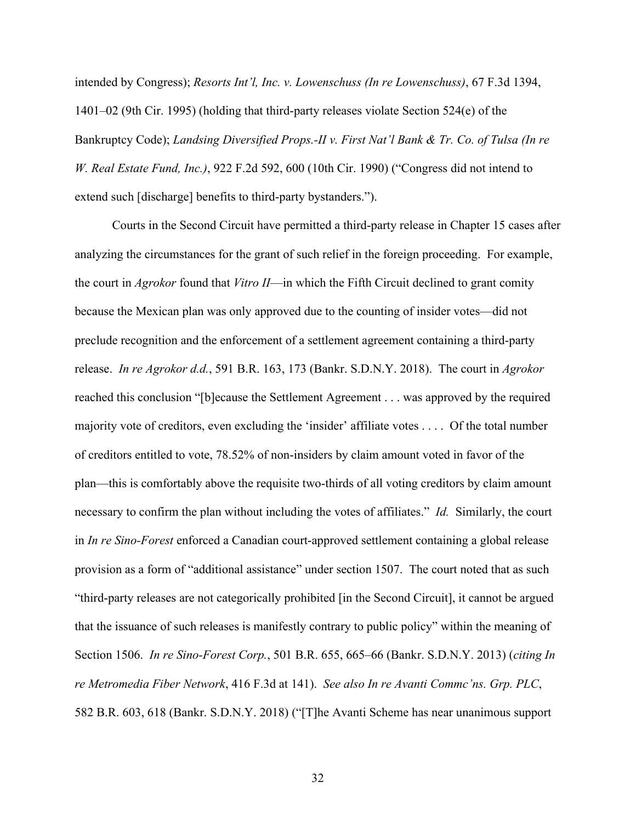intended by Congress); *Resorts Int'l, Inc. v. Lowenschuss (In re Lowenschuss)*, 67 F.3d 1394, 1401–02 (9th Cir. 1995) (holding that third-party releases violate Section 524(e) of the Bankruptcy Code); *Landsing Diversified Props.-II v. First Nat'l Bank & Tr. Co. of Tulsa (In re W. Real Estate Fund, Inc.)*, 922 F.2d 592, 600 (10th Cir. 1990) ("Congress did not intend to extend such [discharge] benefits to third-party bystanders.").

Courts in the Second Circuit have permitted a third-party release in Chapter 15 cases after analyzing the circumstances for the grant of such relief in the foreign proceeding. For example, the court in *Agrokor* found that *Vitro II*—in which the Fifth Circuit declined to grant comity because the Mexican plan was only approved due to the counting of insider votes—did not preclude recognition and the enforcement of a settlement agreement containing a third-party release. *In re Agrokor d.d.*, 591 B.R. 163, 173 (Bankr. S.D.N.Y. 2018). The court in *Agrokor* reached this conclusion "[b]ecause the Settlement Agreement . . . was approved by the required majority vote of creditors, even excluding the 'insider' affiliate votes . . . . Of the total number of creditors entitled to vote, 78.52% of non-insiders by claim amount voted in favor of the plan—this is comfortably above the requisite two-thirds of all voting creditors by claim amount necessary to confirm the plan without including the votes of affiliates." *Id.* Similarly, the court in *In re Sino-Forest* enforced a Canadian court-approved settlement containing a global release provision as a form of "additional assistance" under section 1507. The court noted that as such "third-party releases are not categorically prohibited [in the Second Circuit], it cannot be argued that the issuance of such releases is manifestly contrary to public policy" within the meaning of Section 1506. *In re Sino-Forest Corp.*, 501 B.R. 655, 665–66 (Bankr. S.D.N.Y. 2013) (*citing In re Metromedia Fiber Network*, 416 F.3d at 141). *See also In re Avanti Commc'ns. Grp. PLC*, 582 B.R. 603, 618 (Bankr. S.D.N.Y. 2018) ("[T]he Avanti Scheme has near unanimous support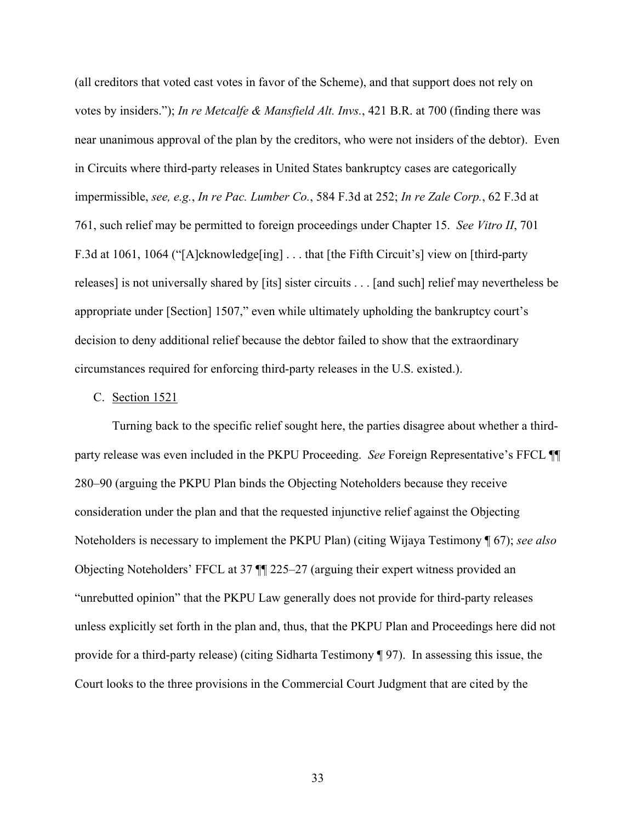(all creditors that voted cast votes in favor of the Scheme), and that support does not rely on votes by insiders."); *In re Metcalfe & Mansfield Alt. Invs.*, 421 B.R. at 700 (finding there was near unanimous approval of the plan by the creditors, who were not insiders of the debtor). Even in Circuits where third-party releases in United States bankruptcy cases are categorically impermissible, *see, e.g.*, *In re Pac. Lumber Co.*, 584 F.3d at 252; *In re Zale Corp.*, 62 F.3d at 761, such relief may be permitted to foreign proceedings under Chapter 15. *See Vitro II*, 701 F.3d at 1061, 1064 ("[A]cknowledge[ing] . . . that [the Fifth Circuit's] view on [third-party releases] is not universally shared by [its] sister circuits . . . [and such] relief may nevertheless be appropriate under [Section] 1507," even while ultimately upholding the bankruptcy court's decision to deny additional relief because the debtor failed to show that the extraordinary circumstances required for enforcing third-party releases in the U.S. existed.).

#### C. Section 1521

Turning back to the specific relief sought here, the parties disagree about whether a thirdparty release was even included in the PKPU Proceeding. *See* Foreign Representative's FFCL ¶¶ 280–90 (arguing the PKPU Plan binds the Objecting Noteholders because they receive consideration under the plan and that the requested injunctive relief against the Objecting Noteholders is necessary to implement the PKPU Plan) (citing Wijaya Testimony ¶ 67); *see also* Objecting Noteholders' FFCL at 37 ¶¶ 225–27 (arguing their expert witness provided an "unrebutted opinion" that the PKPU Law generally does not provide for third-party releases unless explicitly set forth in the plan and, thus, that the PKPU Plan and Proceedings here did not provide for a third-party release) (citing Sidharta Testimony ¶ 97). In assessing this issue, the Court looks to the three provisions in the Commercial Court Judgment that are cited by the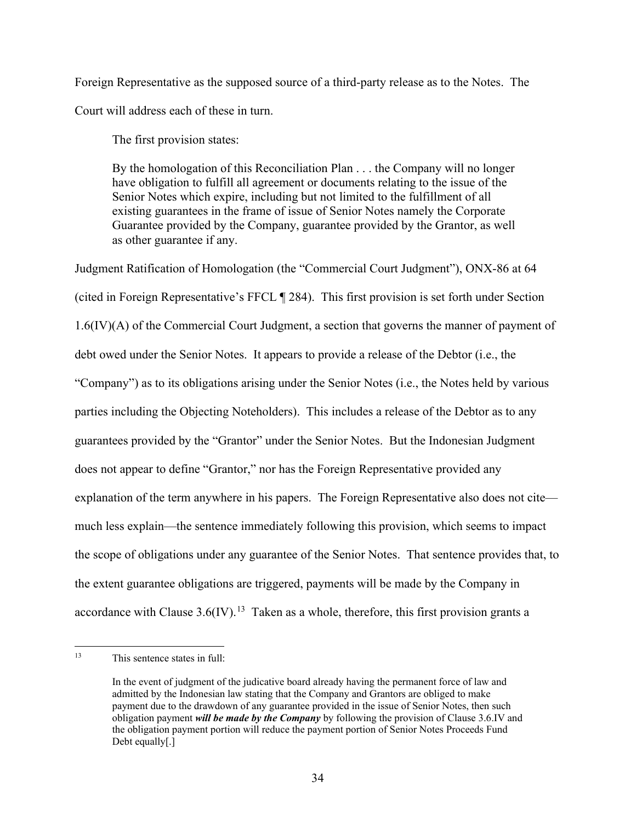Foreign Representative as the supposed source of a third-party release as to the Notes. The Court will address each of these in turn.

The first provision states:

By the homologation of this Reconciliation Plan . . . the Company will no longer have obligation to fulfill all agreement or documents relating to the issue of the Senior Notes which expire, including but not limited to the fulfillment of all existing guarantees in the frame of issue of Senior Notes namely the Corporate Guarantee provided by the Company, guarantee provided by the Grantor, as well as other guarantee if any.

Judgment Ratification of Homologation (the "Commercial Court Judgment"), ONX-86 at 64 (cited in Foreign Representative's FFCL ¶ 284). This first provision is set forth under Section 1.6(IV)(A) of the Commercial Court Judgment, a section that governs the manner of payment of debt owed under the Senior Notes. It appears to provide a release of the Debtor (i.e., the "Company") as to its obligations arising under the Senior Notes (i.e., the Notes held by various parties including the Objecting Noteholders). This includes a release of the Debtor as to any guarantees provided by the "Grantor" under the Senior Notes. But the Indonesian Judgment does not appear to define "Grantor," nor has the Foreign Representative provided any explanation of the term anywhere in his papers. The Foreign Representative also does not cite much less explain—the sentence immediately following this provision, which seems to impact the scope of obligations under any guarantee of the Senior Notes. That sentence provides that, to the extent guarantee obligations are triggered, payments will be made by the Company in accordance with Clause  $3.6$ (IV).<sup>[13](#page-33-0)</sup> Taken as a whole, therefore, this first provision grants a

<span id="page-33-0"></span><sup>13</sup> This sentence states in full:

In the event of judgment of the judicative board already having the permanent force of law and admitted by the Indonesian law stating that the Company and Grantors are obliged to make payment due to the drawdown of any guarantee provided in the issue of Senior Notes, then such obligation payment *will be made by the Company* by following the provision of Clause 3.6.IV and the obligation payment portion will reduce the payment portion of Senior Notes Proceeds Fund Debt equally[.]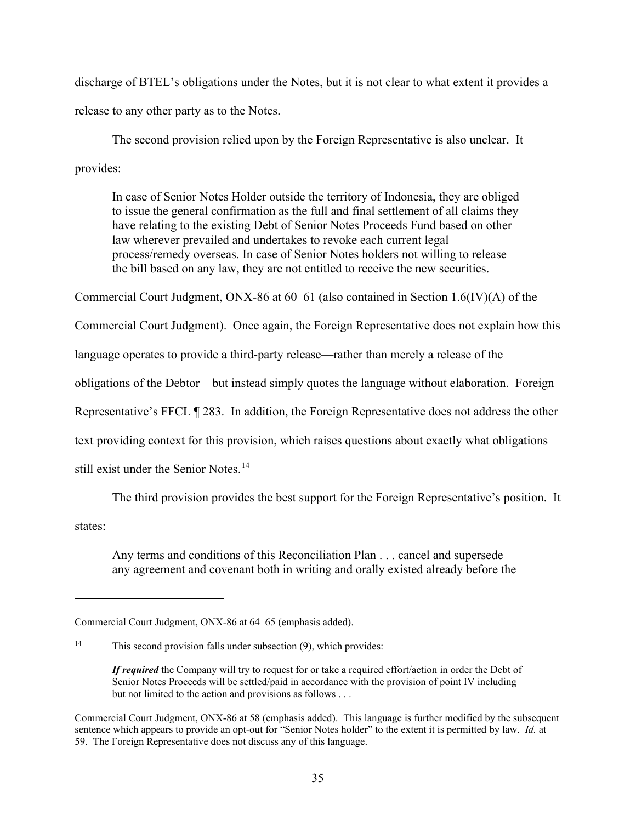discharge of BTEL's obligations under the Notes, but it is not clear to what extent it provides a release to any other party as to the Notes.

The second provision relied upon by the Foreign Representative is also unclear. It provides:

In case of Senior Notes Holder outside the territory of Indonesia, they are obliged to issue the general confirmation as the full and final settlement of all claims they have relating to the existing Debt of Senior Notes Proceeds Fund based on other law wherever prevailed and undertakes to revoke each current legal process/remedy overseas. In case of Senior Notes holders not willing to release the bill based on any law, they are not entitled to receive the new securities.

Commercial Court Judgment, ONX-86 at 60–61 (also contained in Section 1.6(IV)(A) of the

Commercial Court Judgment). Once again, the Foreign Representative does not explain how this

language operates to provide a third-party release—rather than merely a release of the

obligations of the Debtor—but instead simply quotes the language without elaboration. Foreign

Representative's FFCL ¶ 283. In addition, the Foreign Representative does not address the other

text providing context for this provision, which raises questions about exactly what obligations

still exist under the Senior Notes.<sup>[14](#page-34-0)</sup>

The third provision provides the best support for the Foreign Representative's position. It

states:

Any terms and conditions of this Reconciliation Plan . . . cancel and supersede any agreement and covenant both in writing and orally existed already before the

Commercial Court Judgment, ONX-86 at 64–65 (emphasis added).

<span id="page-34-0"></span><sup>14</sup> This second provision falls under subsection (9), which provides:

*If required* the Company will try to request for or take a required effort/action in order the Debt of Senior Notes Proceeds will be settled/paid in accordance with the provision of point IV including but not limited to the action and provisions as follows . . .

Commercial Court Judgment, ONX-86 at 58 (emphasis added). This language is further modified by the subsequent sentence which appears to provide an opt-out for "Senior Notes holder" to the extent it is permitted by law. *Id.* at 59. The Foreign Representative does not discuss any of this language.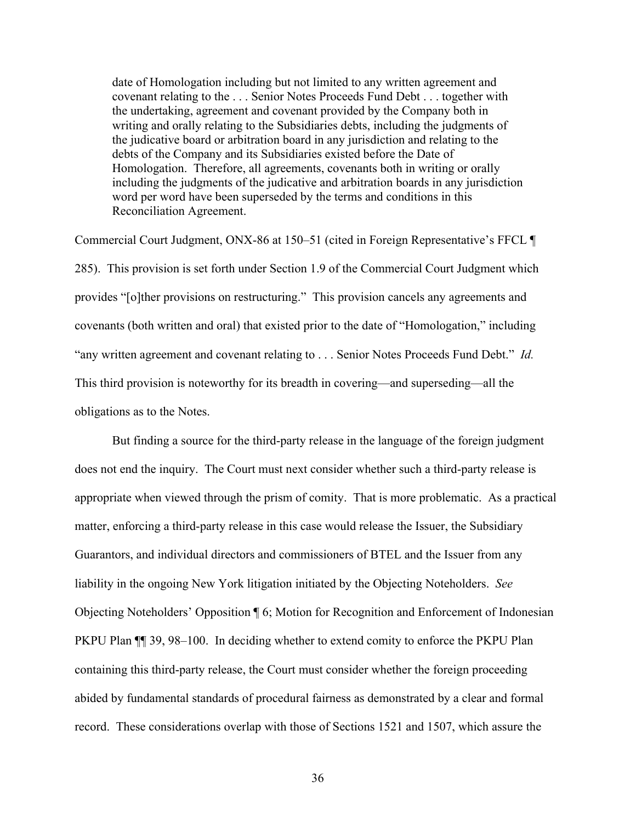date of Homologation including but not limited to any written agreement and covenant relating to the . . . Senior Notes Proceeds Fund Debt . . . together with the undertaking, agreement and covenant provided by the Company both in writing and orally relating to the Subsidiaries debts, including the judgments of the judicative board or arbitration board in any jurisdiction and relating to the debts of the Company and its Subsidiaries existed before the Date of Homologation. Therefore, all agreements, covenants both in writing or orally including the judgments of the judicative and arbitration boards in any jurisdiction word per word have been superseded by the terms and conditions in this Reconciliation Agreement.

Commercial Court Judgment, ONX-86 at 150–51 (cited in Foreign Representative's FFCL ¶ 285). This provision is set forth under Section 1.9 of the Commercial Court Judgment which provides "[o]ther provisions on restructuring." This provision cancels any agreements and covenants (both written and oral) that existed prior to the date of "Homologation," including "any written agreement and covenant relating to . . . Senior Notes Proceeds Fund Debt." *Id.* This third provision is noteworthy for its breadth in covering—and superseding—all the obligations as to the Notes.

But finding a source for the third-party release in the language of the foreign judgment does not end the inquiry. The Court must next consider whether such a third-party release is appropriate when viewed through the prism of comity. That is more problematic. As a practical matter, enforcing a third-party release in this case would release the Issuer, the Subsidiary Guarantors, and individual directors and commissioners of BTEL and the Issuer from any liability in the ongoing New York litigation initiated by the Objecting Noteholders. *See* Objecting Noteholders' Opposition ¶ 6; Motion for Recognition and Enforcement of Indonesian PKPU Plan ¶¶ 39, 98–100. In deciding whether to extend comity to enforce the PKPU Plan containing this third-party release, the Court must consider whether the foreign proceeding abided by fundamental standards of procedural fairness as demonstrated by a clear and formal record. These considerations overlap with those of Sections 1521 and 1507, which assure the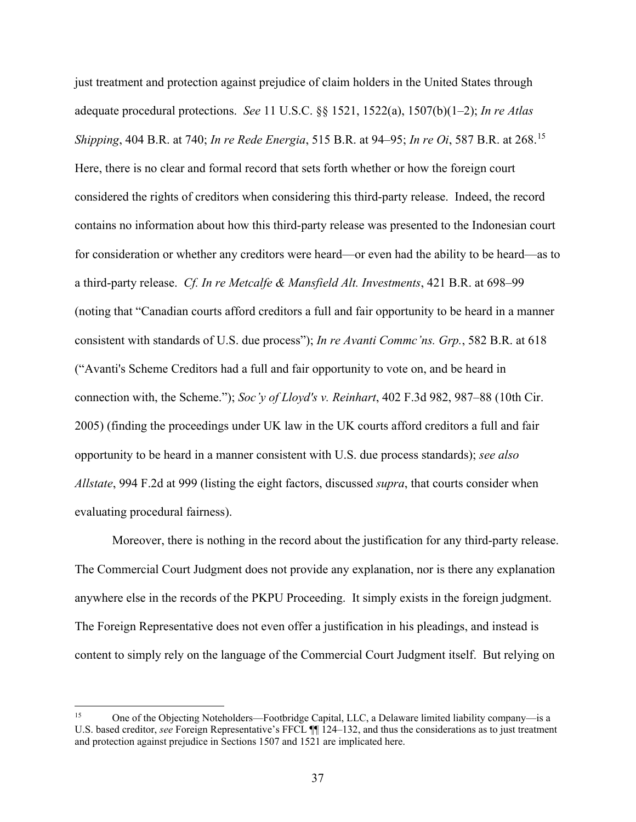just treatment and protection against prejudice of claim holders in the United States through adequate procedural protections. *See* 11 U.S.C. §§ 1521, 1522(a), 1507(b)(1–2); *In re Atlas Shipping*, 404 B.R. at 740; *In re Rede Energia*, 515 B.R. at 94–95; *In re Oi*, 587 B.R. at 268. [15](#page-36-0)  Here, there is no clear and formal record that sets forth whether or how the foreign court considered the rights of creditors when considering this third-party release. Indeed, the record contains no information about how this third-party release was presented to the Indonesian court for consideration or whether any creditors were heard—or even had the ability to be heard—as to a third-party release. *Cf. In re Metcalfe & Mansfield Alt. Investments*, 421 B.R. at 698–99 (noting that "Canadian courts afford creditors a full and fair opportunity to be heard in a manner consistent with standards of U.S. due process"); *In re Avanti Commc'ns. Grp.*, 582 B.R. at 618 ("Avanti's Scheme Creditors had a full and fair opportunity to vote on, and be heard in connection with, the Scheme."); *Soc'y of Lloyd's v. Reinhart*, 402 F.3d 982, 987–88 (10th Cir. 2005) (finding the proceedings under UK law in the UK courts afford creditors a full and fair opportunity to be heard in a manner consistent with U.S. due process standards); *see also Allstate*, 994 F.2d at 999 (listing the eight factors, discussed *supra*, that courts consider when evaluating procedural fairness).

Moreover, there is nothing in the record about the justification for any third-party release. The Commercial Court Judgment does not provide any explanation, nor is there any explanation anywhere else in the records of the PKPU Proceeding. It simply exists in the foreign judgment. The Foreign Representative does not even offer a justification in his pleadings, and instead is content to simply rely on the language of the Commercial Court Judgment itself. But relying on

<span id="page-36-0"></span><sup>15</sup> One of the Objecting Noteholders—Footbridge Capital, LLC, a Delaware limited liability company—is a U.S. based creditor, *see* Foreign Representative's FFCL ¶¶ 124–132, and thus the considerations as to just treatment and protection against prejudice in Sections 1507 and 1521 are implicated here.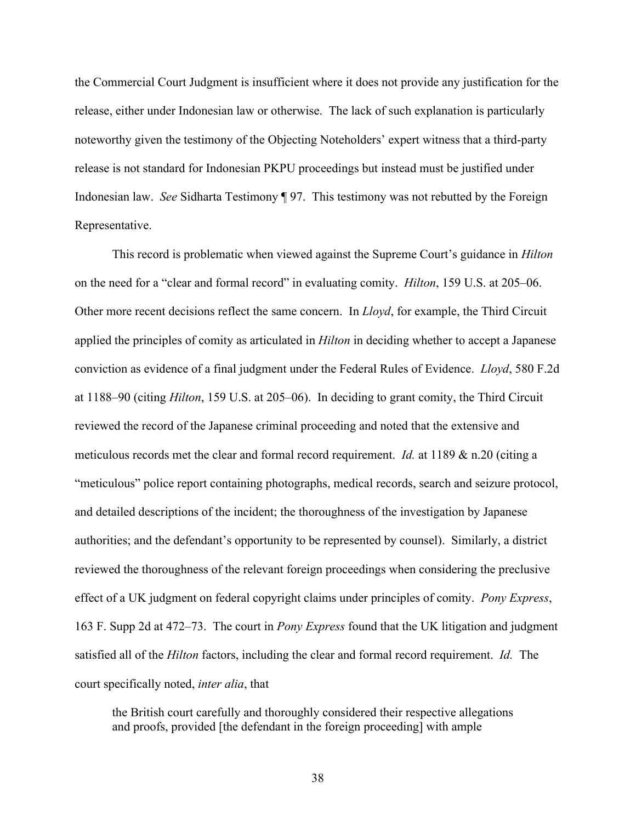the Commercial Court Judgment is insufficient where it does not provide any justification for the release, either under Indonesian law or otherwise. The lack of such explanation is particularly noteworthy given the testimony of the Objecting Noteholders' expert witness that a third-party release is not standard for Indonesian PKPU proceedings but instead must be justified under Indonesian law. *See* Sidharta Testimony ¶ 97. This testimony was not rebutted by the Foreign Representative.

This record is problematic when viewed against the Supreme Court's guidance in *Hilton* on the need for a "clear and formal record" in evaluating comity. *Hilton*, 159 U.S. at 205–06. Other more recent decisions reflect the same concern. In *Lloyd*, for example, the Third Circuit applied the principles of comity as articulated in *Hilton* in deciding whether to accept a Japanese conviction as evidence of a final judgment under the Federal Rules of Evidence. *Lloyd*, 580 F.2d at 1188–90 (citing *Hilton*, 159 U.S. at 205–06). In deciding to grant comity, the Third Circuit reviewed the record of the Japanese criminal proceeding and noted that the extensive and meticulous records met the clear and formal record requirement. *Id.* at 1189 & n.20 (citing a "meticulous" police report containing photographs, medical records, search and seizure protocol, and detailed descriptions of the incident; the thoroughness of the investigation by Japanese authorities; and the defendant's opportunity to be represented by counsel). Similarly, a district reviewed the thoroughness of the relevant foreign proceedings when considering the preclusive effect of a UK judgment on federal copyright claims under principles of comity. *Pony Express*, 163 F. Supp 2d at 472–73. The court in *Pony Express* found that the UK litigation and judgment satisfied all of the *Hilton* factors, including the clear and formal record requirement. *Id.* The court specifically noted, *inter alia*, that

the British court carefully and thoroughly considered their respective allegations and proofs, provided [the defendant in the foreign proceeding] with ample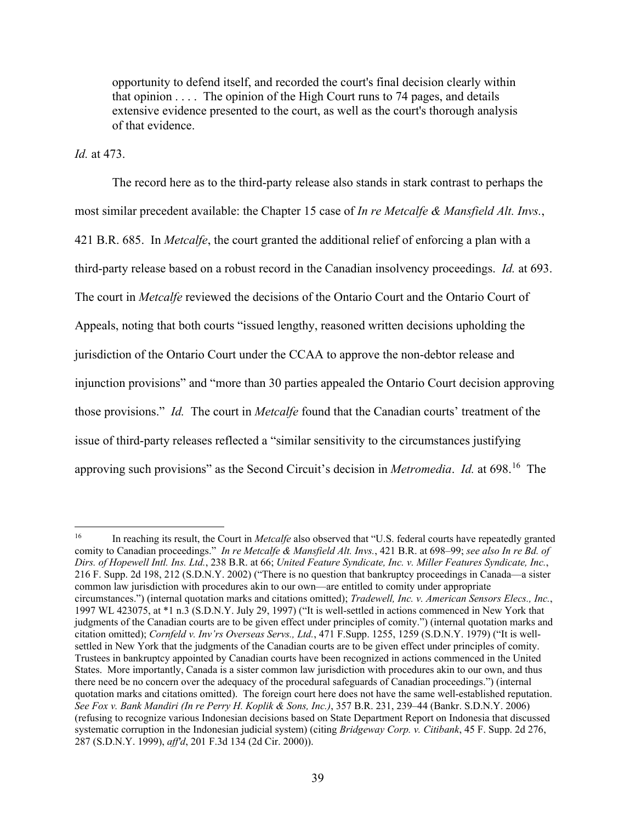opportunity to defend itself, and recorded the court's final decision clearly within that opinion  $\ldots$ . The opinion of the High Court runs to 74 pages, and details extensive evidence presented to the court, as well as the court's thorough analysis of that evidence.

*Id.* at 473.

The record here as to the third-party release also stands in stark contrast to perhaps the most similar precedent available: the Chapter 15 case of *In re Metcalfe & Mansfield Alt. Invs.*, 421 B.R. 685. In *Metcalfe*, the court granted the additional relief of enforcing a plan with a third-party release based on a robust record in the Canadian insolvency proceedings. *Id.* at 693. The court in *Metcalfe* reviewed the decisions of the Ontario Court and the Ontario Court of Appeals, noting that both courts "issued lengthy, reasoned written decisions upholding the jurisdiction of the Ontario Court under the CCAA to approve the non-debtor release and injunction provisions" and "more than 30 parties appealed the Ontario Court decision approving those provisions." *Id.* The court in *Metcalfe* found that the Canadian courts' treatment of the issue of third-party releases reflected a "similar sensitivity to the circumstances justifying approving such provisions" as the Second Circuit's decision in *Metromedia*. *Id.* at 698.[16](#page-38-0) The

<span id="page-38-0"></span><sup>16</sup> In reaching its result, the Court in *Metcalfe* also observed that "U.S. federal courts have repeatedly granted comity to Canadian proceedings." *In re Metcalfe & Mansfield Alt. Invs.*, 421 B.R. at 698–99; *see also In re Bd. of Dirs. of Hopewell Intl. Ins. Ltd.*, 238 B.R. at 66; *United Feature Syndicate, Inc. v. Miller Features Syndicate, Inc.*, 216 F. Supp. 2d 198, 212 (S.D.N.Y. 2002) ("There is no question that bankruptcy proceedings in Canada—a sister common law jurisdiction with procedures akin to our own—are entitled to comity under appropriate circumstances.") (internal quotation marks and citations omitted); *Tradewell, Inc. v. American Sensors Elecs., Inc.*, 1997 WL 423075, at \*1 n.3 (S.D.N.Y. July 29, 1997) ("It is well-settled in actions commenced in New York that judgments of the Canadian courts are to be given effect under principles of comity.") (internal quotation marks and citation omitted); *Cornfeld v. Inv'rs Overseas Servs., Ltd.*, 471 F.Supp. 1255, 1259 (S.D.N.Y. 1979) ("It is wellsettled in New York that the judgments of the Canadian courts are to be given effect under principles of comity. Trustees in bankruptcy appointed by Canadian courts have been recognized in actions commenced in the United States. More importantly, Canada is a sister common law jurisdiction with procedures akin to our own, and thus there need be no concern over the adequacy of the procedural safeguards of Canadian proceedings.") (internal quotation marks and citations omitted). The foreign court here does not have the same well-established reputation. *See Fox v. Bank Mandiri (In re Perry H. Koplik & Sons, Inc.)*, 357 B.R. 231, 239–44 (Bankr. S.D.N.Y. 2006) (refusing to recognize various Indonesian decisions based on State Department Report on Indonesia that discussed systematic corruption in the Indonesian judicial system) (citing *Bridgeway Corp. v. Citibank*, 45 F. Supp. 2d 276, 287 (S.D.N.Y. 1999), *aff'd*, 201 F.3d 134 (2d Cir. 2000)).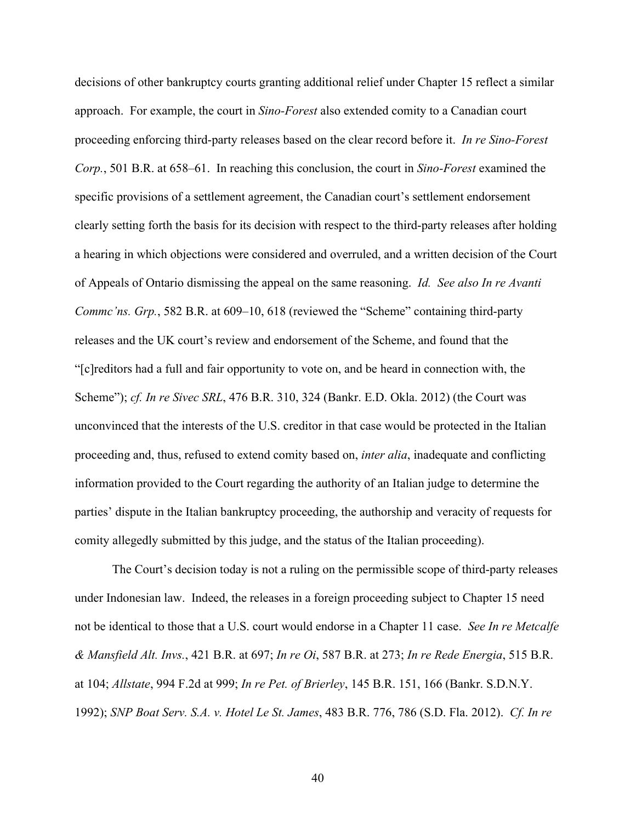decisions of other bankruptcy courts granting additional relief under Chapter 15 reflect a similar approach. For example, the court in *Sino-Forest* also extended comity to a Canadian court proceeding enforcing third-party releases based on the clear record before it. *In re Sino-Forest Corp.*, 501 B.R. at 658–61. In reaching this conclusion, the court in *Sino-Forest* examined the specific provisions of a settlement agreement, the Canadian court's settlement endorsement clearly setting forth the basis for its decision with respect to the third-party releases after holding a hearing in which objections were considered and overruled, and a written decision of the Court of Appeals of Ontario dismissing the appeal on the same reasoning. *Id. See also In re Avanti Commc'ns. Grp.*, 582 B.R. at 609–10, 618 (reviewed the "Scheme" containing third-party releases and the UK court's review and endorsement of the Scheme, and found that the "[c]reditors had a full and fair opportunity to vote on, and be heard in connection with, the Scheme"); *cf. In re Sivec SRL*, 476 B.R. 310, 324 (Bankr. E.D. Okla. 2012) (the Court was unconvinced that the interests of the U.S. creditor in that case would be protected in the Italian proceeding and, thus, refused to extend comity based on, *inter alia*, inadequate and conflicting information provided to the Court regarding the authority of an Italian judge to determine the parties' dispute in the Italian bankruptcy proceeding, the authorship and veracity of requests for comity allegedly submitted by this judge, and the status of the Italian proceeding).

The Court's decision today is not a ruling on the permissible scope of third-party releases under Indonesian law. Indeed, the releases in a foreign proceeding subject to Chapter 15 need not be identical to those that a U.S. court would endorse in a Chapter 11 case. *See In re Metcalfe & Mansfield Alt. Invs.*, 421 B.R. at 697; *In re Oi*, 587 B.R. at 273; *In re Rede Energia*, 515 B.R. at 104; *Allstate*, 994 F.2d at 999; *In re Pet. of Brierley*, 145 B.R. 151, 166 (Bankr. S.D.N.Y. 1992); *SNP Boat Serv. S.A. v. Hotel Le St. James*, 483 B.R. 776, 786 (S.D. Fla. 2012). *Cf. In re*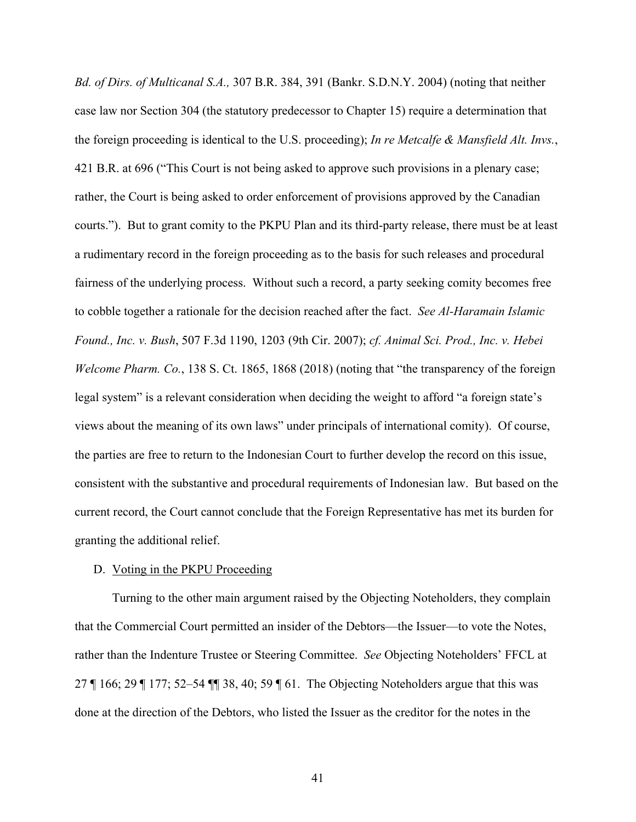*Bd. of Dirs. of Multicanal S.A.,* 307 B.R. 384, 391 (Bankr. S.D.N.Y. 2004) (noting that neither case law nor Section 304 (the statutory predecessor to Chapter 15) require a determination that the foreign proceeding is identical to the U.S. proceeding); *In re Metcalfe & Mansfield Alt. Invs.*, 421 B.R. at 696 ("This Court is not being asked to approve such provisions in a plenary case; rather, the Court is being asked to order enforcement of provisions approved by the Canadian courts."). But to grant comity to the PKPU Plan and its third-party release, there must be at least a rudimentary record in the foreign proceeding as to the basis for such releases and procedural fairness of the underlying process. Without such a record, a party seeking comity becomes free to cobble together a rationale for the decision reached after the fact. *See Al-Haramain Islamic Found., Inc. v. Bush*, 507 F.3d 1190, 1203 (9th Cir. 2007); *cf. Animal Sci. Prod., Inc. v. Hebei Welcome Pharm. Co.*, 138 S. Ct. 1865, 1868 (2018) (noting that "the transparency of the foreign legal system" is a relevant consideration when deciding the weight to afford "a foreign state's views about the meaning of its own laws" under principals of international comity). Of course, the parties are free to return to the Indonesian Court to further develop the record on this issue, consistent with the substantive and procedural requirements of Indonesian law. But based on the current record, the Court cannot conclude that the Foreign Representative has met its burden for granting the additional relief.

#### D. Voting in the PKPU Proceeding

Turning to the other main argument raised by the Objecting Noteholders, they complain that the Commercial Court permitted an insider of the Debtors—the Issuer—to vote the Notes, rather than the Indenture Trustee or Steering Committee. *See* Objecting Noteholders' FFCL at 27 ¶ 166; 29 ¶ 177; 52–54 ¶¶ 38, 40; 59 ¶ 61. The Objecting Noteholders argue that this was done at the direction of the Debtors, who listed the Issuer as the creditor for the notes in the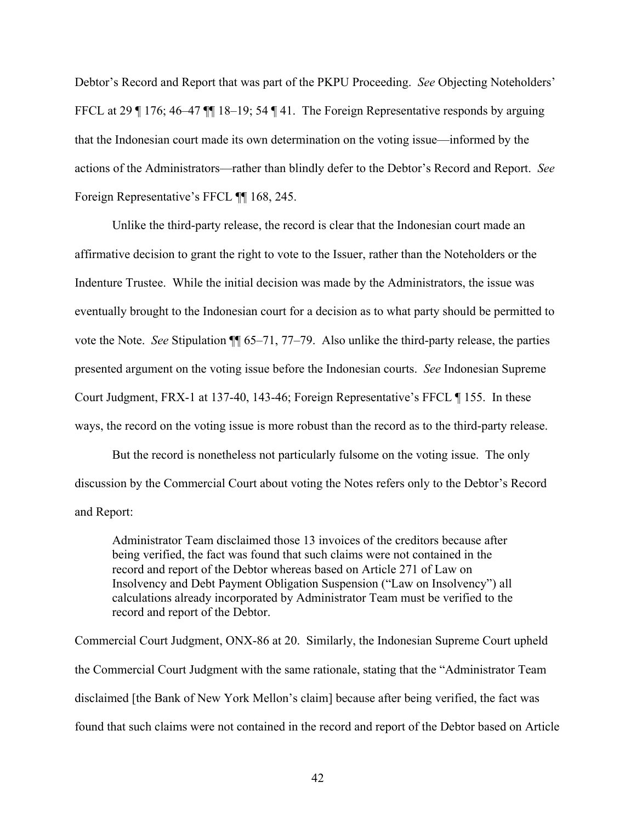Debtor's Record and Report that was part of the PKPU Proceeding. *See* Objecting Noteholders' FFCL at 29 ¶ 176; 46–47 ¶ 18–19; 54 ¶ 41. The Foreign Representative responds by arguing that the Indonesian court made its own determination on the voting issue—informed by the actions of the Administrators—rather than blindly defer to the Debtor's Record and Report. *See*  Foreign Representative's FFCL ¶¶ 168, 245.

Unlike the third-party release, the record is clear that the Indonesian court made an affirmative decision to grant the right to vote to the Issuer, rather than the Noteholders or the Indenture Trustee. While the initial decision was made by the Administrators, the issue was eventually brought to the Indonesian court for a decision as to what party should be permitted to vote the Note. *See* Stipulation ¶¶ 65–71, 77–79. Also unlike the third-party release, the parties presented argument on the voting issue before the Indonesian courts. *See* Indonesian Supreme Court Judgment, FRX-1 at 137-40, 143-46; Foreign Representative's FFCL ¶ 155. In these ways, the record on the voting issue is more robust than the record as to the third-party release.

But the record is nonetheless not particularly fulsome on the voting issue. The only discussion by the Commercial Court about voting the Notes refers only to the Debtor's Record and Report:

Administrator Team disclaimed those 13 invoices of the creditors because after being verified, the fact was found that such claims were not contained in the record and report of the Debtor whereas based on Article 271 of Law on Insolvency and Debt Payment Obligation Suspension ("Law on Insolvency") all calculations already incorporated by Administrator Team must be verified to the record and report of the Debtor.

Commercial Court Judgment, ONX-86 at 20. Similarly, the Indonesian Supreme Court upheld the Commercial Court Judgment with the same rationale, stating that the "Administrator Team disclaimed [the Bank of New York Mellon's claim] because after being verified, the fact was found that such claims were not contained in the record and report of the Debtor based on Article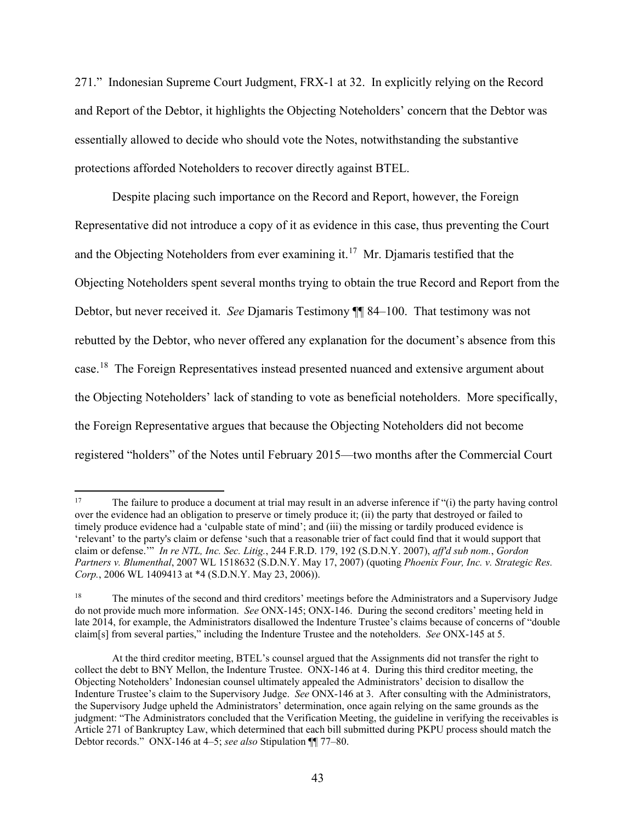271." Indonesian Supreme Court Judgment, FRX-1 at 32. In explicitly relying on the Record and Report of the Debtor, it highlights the Objecting Noteholders' concern that the Debtor was essentially allowed to decide who should vote the Notes, notwithstanding the substantive protections afforded Noteholders to recover directly against BTEL.

Despite placing such importance on the Record and Report, however, the Foreign Representative did not introduce a copy of it as evidence in this case, thus preventing the Court and the Objecting Noteholders from ever examining it.<sup>17</sup> Mr. Djamaris testified that the Objecting Noteholders spent several months trying to obtain the true Record and Report from the Debtor, but never received it. *See* Djamaris Testimony ¶¶ 84–100. That testimony was not rebutted by the Debtor, who never offered any explanation for the document's absence from this case.[18](#page-42-1) The Foreign Representatives instead presented nuanced and extensive argument about the Objecting Noteholders' lack of standing to vote as beneficial noteholders. More specifically, the Foreign Representative argues that because the Objecting Noteholders did not become registered "holders" of the Notes until February 2015—two months after the Commercial Court

<span id="page-42-0"></span><sup>&</sup>lt;sup>17</sup> The failure to produce a document at trial may result in an adverse inference if "(i) the party having control over the evidence had an obligation to preserve or timely produce it; (ii) the party that destroyed or failed to timely produce evidence had a 'culpable state of mind'; and (iii) the missing or tardily produced evidence is 'relevant' to the party's claim or defense 'such that a reasonable trier of fact could find that it would support that claim or defense.'" *In re NTL, Inc. Sec. Litig.*, 244 F.R.D. 179, 192 (S.D.N.Y. 2007), *aff'd sub nom.*, *Gordon Partners v. Blumenthal*, 2007 WL 1518632 (S.D.N.Y. May 17, 2007) (quoting *Phoenix Four, Inc. v. Strategic Res. Corp.*, 2006 WL 1409413 at \*4 (S.D.N.Y. May 23, 2006)).

<span id="page-42-1"></span><sup>18</sup> The minutes of the second and third creditors' meetings before the Administrators and a Supervisory Judge do not provide much more information. *See* ONX-145; ONX-146. During the second creditors' meeting held in late 2014, for example, the Administrators disallowed the Indenture Trustee's claims because of concerns of "double claim[s] from several parties," including the Indenture Trustee and the noteholders. *See* ONX-145 at 5.

At the third creditor meeting, BTEL's counsel argued that the Assignments did not transfer the right to collect the debt to BNY Mellon, the Indenture Trustee. ONX-146 at 4. During this third creditor meeting, the Objecting Noteholders' Indonesian counsel ultimately appealed the Administrators' decision to disallow the Indenture Trustee's claim to the Supervisory Judge. *See* ONX-146 at 3. After consulting with the Administrators, the Supervisory Judge upheld the Administrators' determination, once again relying on the same grounds as the judgment: "The Administrators concluded that the Verification Meeting, the guideline in verifying the receivables is Article 271 of Bankruptcy Law, which determined that each bill submitted during PKPU process should match the Debtor records." ONX-146 at 4–5; *see also* Stipulation ¶¶ 77–80.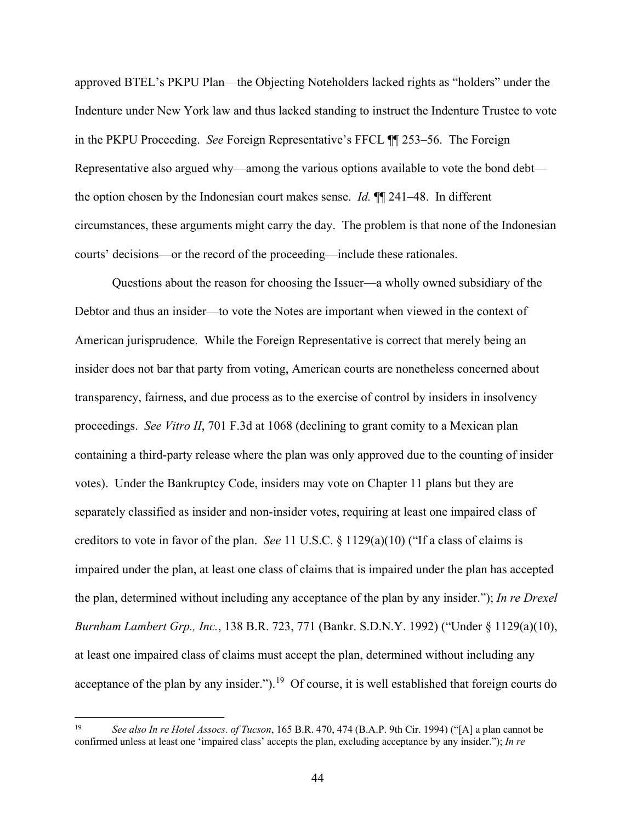approved BTEL's PKPU Plan—the Objecting Noteholders lacked rights as "holders" under the Indenture under New York law and thus lacked standing to instruct the Indenture Trustee to vote in the PKPU Proceeding. *See* Foreign Representative's FFCL ¶¶ 253–56. The Foreign Representative also argued why—among the various options available to vote the bond debt the option chosen by the Indonesian court makes sense. *Id.* ¶¶ 241–48. In different circumstances, these arguments might carry the day. The problem is that none of the Indonesian courts' decisions—or the record of the proceeding—include these rationales.

Questions about the reason for choosing the Issuer—a wholly owned subsidiary of the Debtor and thus an insider—to vote the Notes are important when viewed in the context of American jurisprudence. While the Foreign Representative is correct that merely being an insider does not bar that party from voting, American courts are nonetheless concerned about transparency, fairness, and due process as to the exercise of control by insiders in insolvency proceedings. *See Vitro II*, 701 F.3d at 1068 (declining to grant comity to a Mexican plan containing a third-party release where the plan was only approved due to the counting of insider votes). Under the Bankruptcy Code, insiders may vote on Chapter 11 plans but they are separately classified as insider and non-insider votes, requiring at least one impaired class of creditors to vote in favor of the plan. *See* 11 U.S.C. § 1129(a)(10) ("If a class of claims is impaired under the plan, at least one class of claims that is impaired under the plan has accepted the plan, determined without including any acceptance of the plan by any insider."); *In re Drexel Burnham Lambert Grp., Inc.*, 138 B.R. 723, 771 (Bankr. S.D.N.Y. 1992) ("Under § 1129(a)(10), at least one impaired class of claims must accept the plan, determined without including any acceptance of the plan by any insider.").<sup>[19](#page-43-0)</sup> Of course, it is well established that foreign courts do

<span id="page-43-0"></span><sup>19</sup> *See also In re Hotel Assocs. of Tucson*, 165 B.R. 470, 474 (B.A.P. 9th Cir. 1994) ("[A] a plan cannot be confirmed unless at least one 'impaired class' accepts the plan, excluding acceptance by any insider."); *In re*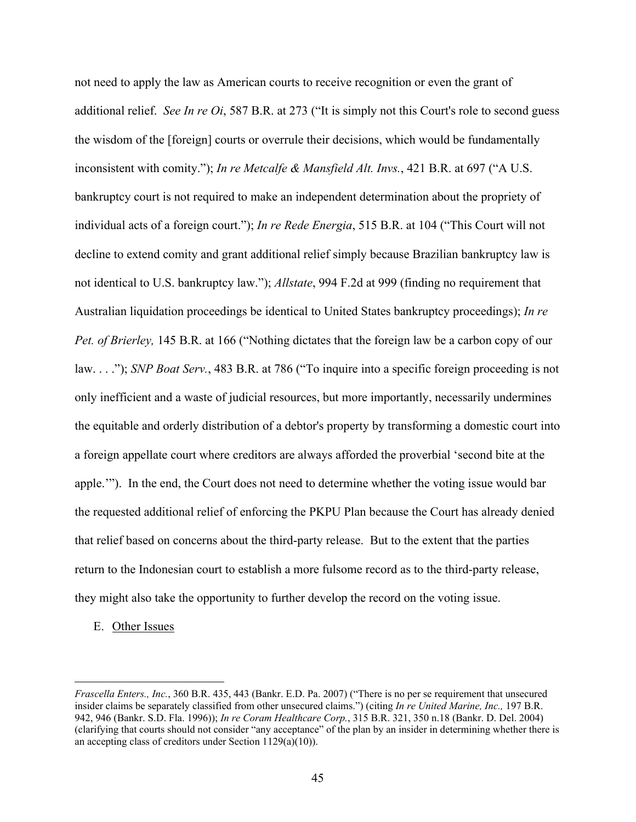not need to apply the law as American courts to receive recognition or even the grant of additional relief. *See In re Oi*, 587 B.R. at 273 ("It is simply not this Court's role to second guess the wisdom of the [foreign] courts or overrule their decisions, which would be fundamentally inconsistent with comity."); *In re Metcalfe & Mansfield Alt. Invs.*, 421 B.R. at 697 ("A U.S. bankruptcy court is not required to make an independent determination about the propriety of individual acts of a foreign court."); *In re Rede Energia*, 515 B.R. at 104 ("This Court will not decline to extend comity and grant additional relief simply because Brazilian bankruptcy law is not identical to U.S. bankruptcy law."); *Allstate*, 994 F.2d at 999 (finding no requirement that Australian liquidation proceedings be identical to United States bankruptcy proceedings); *In re Pet. of Brierley,* 145 B.R. at 166 ("Nothing dictates that the foreign law be a carbon copy of our law. . . ."); *SNP Boat Serv.*, 483 B.R. at 786 ("To inquire into a specific foreign proceeding is not only inefficient and a waste of judicial resources, but more importantly, necessarily undermines the equitable and orderly distribution of a debtor's property by transforming a domestic court into a foreign appellate court where creditors are always afforded the proverbial 'second bite at the apple.'"). In the end, the Court does not need to determine whether the voting issue would bar the requested additional relief of enforcing the PKPU Plan because the Court has already denied that relief based on concerns about the third-party release. But to the extent that the parties return to the Indonesian court to establish a more fulsome record as to the third-party release, they might also take the opportunity to further develop the record on the voting issue.

## E. Other Issues

*Frascella Enters., Inc.*, 360 B.R. 435, 443 (Bankr. E.D. Pa. 2007) ("There is no per se requirement that unsecured insider claims be separately classified from other unsecured claims.") (citing *In re United Marine, Inc.,* 197 B.R. 942, 946 (Bankr. S.D. Fla. 1996)); *In re Coram Healthcare Corp.*, 315 B.R. 321, 350 n.18 (Bankr. D. Del. 2004) (clarifying that courts should not consider "any acceptance" of the plan by an insider in determining whether there is an accepting class of creditors under Section 1129(a)(10)).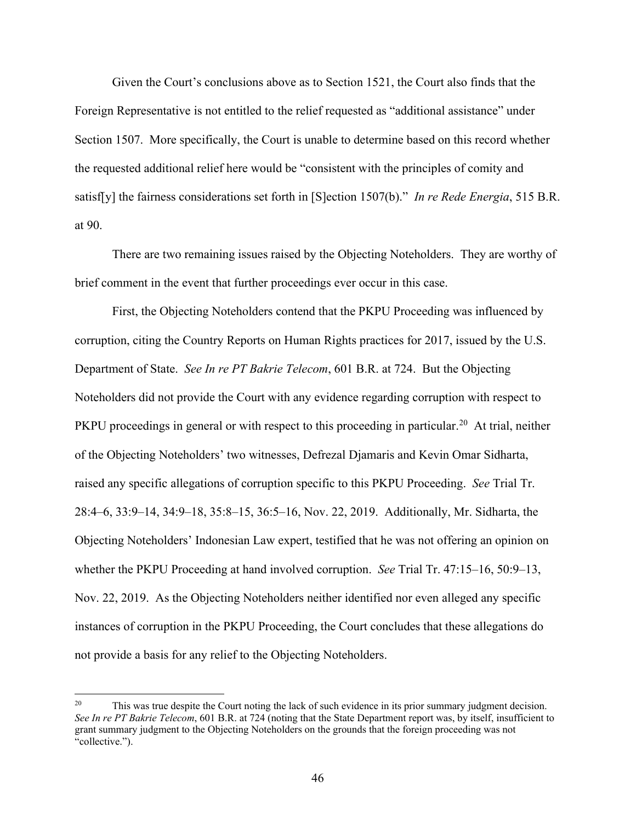Given the Court's conclusions above as to Section 1521, the Court also finds that the Foreign Representative is not entitled to the relief requested as "additional assistance" under Section 1507. More specifically, the Court is unable to determine based on this record whether the requested additional relief here would be "consistent with the principles of comity and satisf[y] the fairness considerations set forth in [S]ection 1507(b)." *In re Rede Energia*, 515 B.R. at 90.

There are two remaining issues raised by the Objecting Noteholders. They are worthy of brief comment in the event that further proceedings ever occur in this case.

First, the Objecting Noteholders contend that the PKPU Proceeding was influenced by corruption, citing the Country Reports on Human Rights practices for 2017, issued by the U.S. Department of State. *See In re PT Bakrie Telecom*, 601 B.R. at 724. But the Objecting Noteholders did not provide the Court with any evidence regarding corruption with respect to PKPU proceedings in general or with respect to this proceeding in particular.<sup>[20](#page-45-0)</sup> At trial, neither of the Objecting Noteholders' two witnesses, Defrezal Djamaris and Kevin Omar Sidharta, raised any specific allegations of corruption specific to this PKPU Proceeding. *See* Trial Tr. 28:4–6, 33:9–14, 34:9–18, 35:8–15, 36:5–16, Nov. 22, 2019. Additionally, Mr. Sidharta, the Objecting Noteholders' Indonesian Law expert, testified that he was not offering an opinion on whether the PKPU Proceeding at hand involved corruption. *See* Trial Tr. 47:15–16, 50:9–13, Nov. 22, 2019. As the Objecting Noteholders neither identified nor even alleged any specific instances of corruption in the PKPU Proceeding, the Court concludes that these allegations do not provide a basis for any relief to the Objecting Noteholders.

<span id="page-45-0"></span><sup>&</sup>lt;sup>20</sup> This was true despite the Court noting the lack of such evidence in its prior summary judgment decision. *See In re PT Bakrie Telecom*, 601 B.R. at 724 (noting that the State Department report was, by itself, insufficient to grant summary judgment to the Objecting Noteholders on the grounds that the foreign proceeding was not "collective.").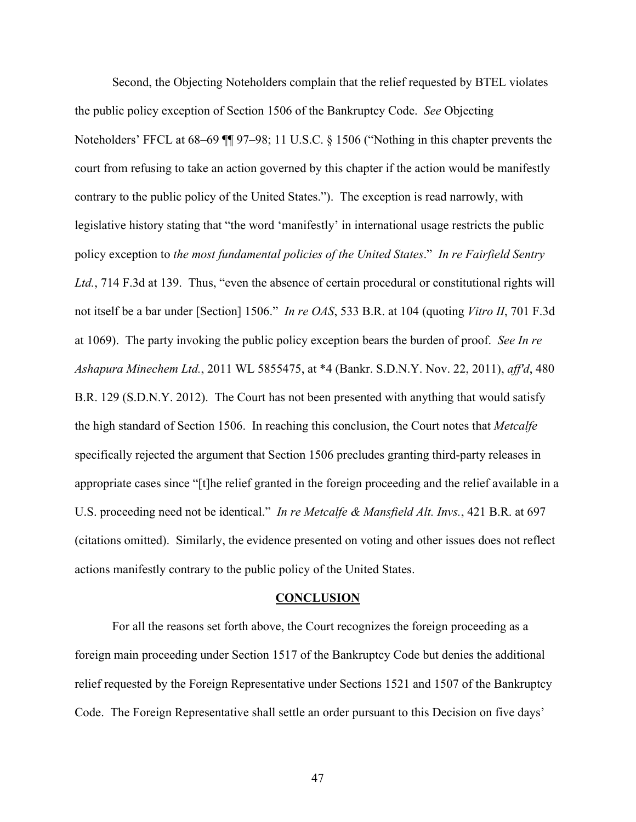Second, the Objecting Noteholders complain that the relief requested by BTEL violates the public policy exception of Section 1506 of the Bankruptcy Code. *See* Objecting Noteholders' FFCL at 68–69  $\blacksquare$  97–98; 11 U.S.C. § 1506 ("Nothing in this chapter prevents the court from refusing to take an action governed by this chapter if the action would be manifestly contrary to the public policy of the United States."). The exception is read narrowly, with legislative history stating that "the word 'manifestly' in international usage restricts the public policy exception to *the most fundamental policies of the United States*." *In re Fairfield Sentry Ltd.*, 714 F.3d at 139. Thus, "even the absence of certain procedural or constitutional rights will not itself be a bar under [Section] 1506." *In re OAS*, 533 B.R. at 104 (quoting *Vitro II*, 701 F.3d at 1069). The party invoking the public policy exception bears the burden of proof. *See In re Ashapura Minechem Ltd.*, 2011 WL 5855475, at \*4 (Bankr. S.D.N.Y. Nov. 22, 2011), *aff'd*, 480 B.R. 129 (S.D.N.Y. 2012). The Court has not been presented with anything that would satisfy the high standard of Section 1506. In reaching this conclusion, the Court notes that *Metcalfe* specifically rejected the argument that Section 1506 precludes granting third-party releases in appropriate cases since "[t]he relief granted in the foreign proceeding and the relief available in a U.S. proceeding need not be identical." *In re Metcalfe & Mansfield Alt. Invs.*, 421 B.R. at 697 (citations omitted). Similarly, the evidence presented on voting and other issues does not reflect actions manifestly contrary to the public policy of the United States.

#### **CONCLUSION**

For all the reasons set forth above, the Court recognizes the foreign proceeding as a foreign main proceeding under Section 1517 of the Bankruptcy Code but denies the additional relief requested by the Foreign Representative under Sections 1521 and 1507 of the Bankruptcy Code. The Foreign Representative shall settle an order pursuant to this Decision on five days'